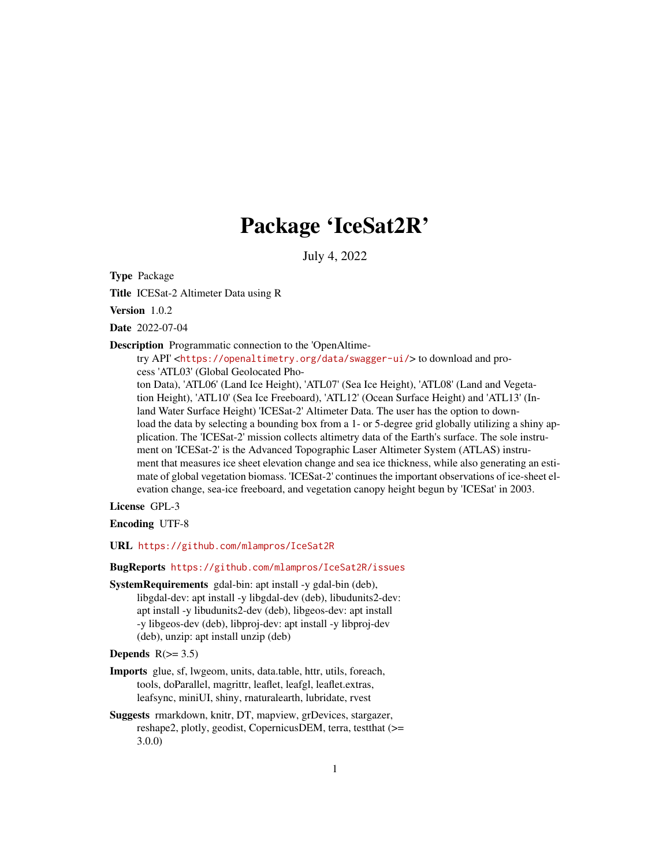# Package 'IceSat2R'

July 4, 2022

Type Package

Title ICESat-2 Altimeter Data using R

Version 1.0.2

Date 2022-07-04

Description Programmatic connection to the 'OpenAltime-

try API' <<https://openaltimetry.org/data/swagger-ui/>> to download and process 'ATL03' (Global Geolocated Pho-

ton Data), 'ATL06' (Land Ice Height), 'ATL07' (Sea Ice Height), 'ATL08' (Land and Vegetation Height), 'ATL10' (Sea Ice Freeboard), 'ATL12' (Ocean Surface Height) and 'ATL13' (Inland Water Surface Height) 'ICESat-2' Altimeter Data. The user has the option to download the data by selecting a bounding box from a 1- or 5-degree grid globally utilizing a shiny application. The 'ICESat-2' mission collects altimetry data of the Earth's surface. The sole instrument on 'ICESat-2' is the Advanced Topographic Laser Altimeter System (ATLAS) instrument that measures ice sheet elevation change and sea ice thickness, while also generating an estimate of global vegetation biomass. 'ICESat-2' continues the important observations of ice-sheet elevation change, sea-ice freeboard, and vegetation canopy height begun by 'ICESat' in 2003.

License GPL-3

Encoding UTF-8

URL <https://github.com/mlampros/IceSat2R>

#### BugReports <https://github.com/mlampros/IceSat2R/issues>

SystemRequirements gdal-bin: apt install -y gdal-bin (deb), libgdal-dev: apt install -y libgdal-dev (deb), libudunits2-dev: apt install -y libudunits2-dev (deb), libgeos-dev: apt install -y libgeos-dev (deb), libproj-dev: apt install -y libproj-dev (deb), unzip: apt install unzip (deb)

Depends  $R(>= 3.5)$ 

- Imports glue, sf, lwgeom, units, data.table, httr, utils, foreach, tools, doParallel, magrittr, leaflet, leafgl, leaflet.extras, leafsync, miniUI, shiny, rnaturalearth, lubridate, rvest
- Suggests rmarkdown, knitr, DT, mapview, grDevices, stargazer, reshape2, plotly, geodist, CopernicusDEM, terra, testthat (>= 3.0.0)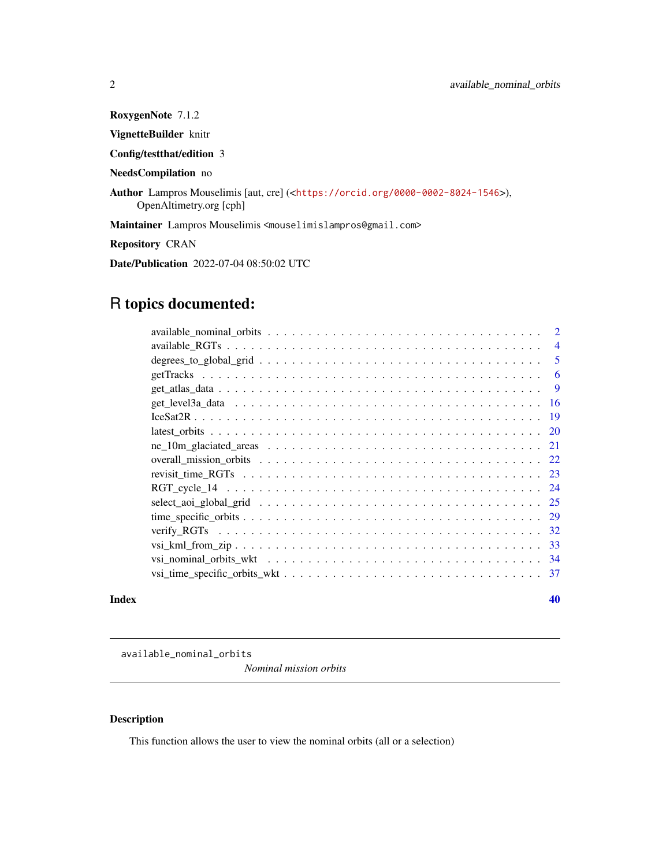RoxygenNote 7.1.2 VignetteBuilder knitr Config/testthat/edition 3 NeedsCompilation no Author Lampros Mouselimis [aut, cre] (<<https://orcid.org/0000-0002-8024-1546>>), OpenAltimetry.org [cph] Maintainer Lampros Mouselimis <mouselimislampros@gmail.com> Repository CRAN Date/Publication 2022-07-04 08:50:02 UTC

## R topics documented:

| $\overline{4}$                                                                                                     |
|--------------------------------------------------------------------------------------------------------------------|
| .5                                                                                                                 |
| -6                                                                                                                 |
| <b>9</b>                                                                                                           |
|                                                                                                                    |
|                                                                                                                    |
|                                                                                                                    |
|                                                                                                                    |
|                                                                                                                    |
|                                                                                                                    |
|                                                                                                                    |
|                                                                                                                    |
|                                                                                                                    |
|                                                                                                                    |
|                                                                                                                    |
| vsi nominal orbits wkt $\dots \dots \dots \dots \dots \dots \dots \dots \dots \dots \dots \dots \dots \dots \dots$ |
| -37                                                                                                                |
|                                                                                                                    |

#### $\blacksquare$

available\_nominal\_orbits

*Nominal mission orbits*

#### Description

This function allows the user to view the nominal orbits (all or a selection)

<span id="page-1-0"></span>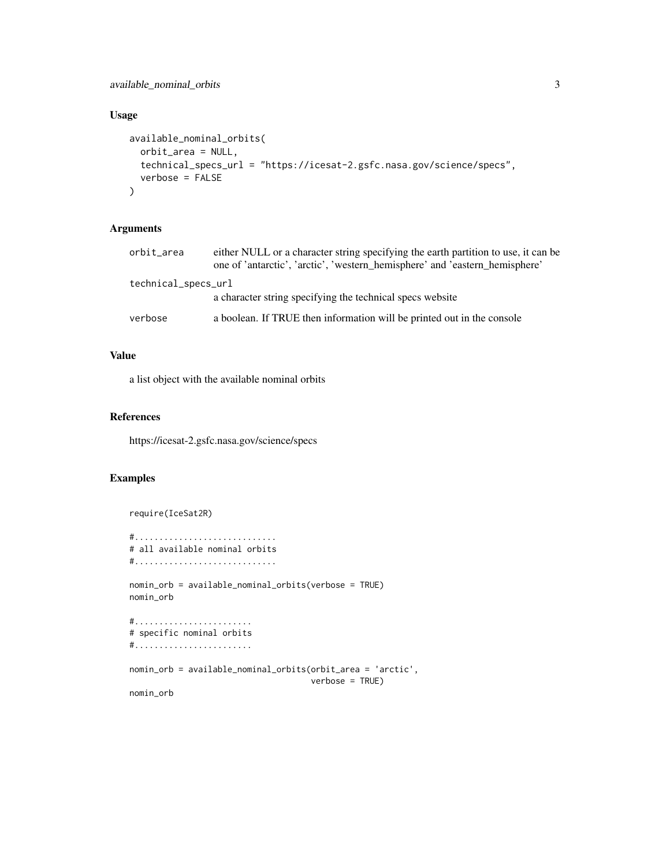#### Usage

```
available_nominal_orbits(
 orbit_area = NULL,
 technical_specs_url = "https://icesat-2.gsfc.nasa.gov/science/specs",
 verbose = FALSE
)
```
#### Arguments

| orbit_area          | either NULL or a character string specifying the earth partition to use, it can be<br>one of 'antarctic', 'arctic', 'western hemisphere' and 'eastern hemisphere' |  |
|---------------------|-------------------------------------------------------------------------------------------------------------------------------------------------------------------|--|
| technical_specs_url |                                                                                                                                                                   |  |
|                     | a character string specifying the technical specs website                                                                                                         |  |
| verbose             | a boolean. If TRUE then information will be printed out in the console                                                                                            |  |

#### Value

a list object with the available nominal orbits

#### References

https://icesat-2.gsfc.nasa.gov/science/specs

#### Examples

```
require(IceSat2R)
#.............................
# all available nominal orbits
#.............................
nomin_orb = available_nominal_orbits(verbose = TRUE)
nomin_orb
#........................
# specific nominal orbits
#........................
nomin_orb = available_nominal_orbits(orbit_area = 'arctic',
                                     verbose = TRUE)
nomin_orb
```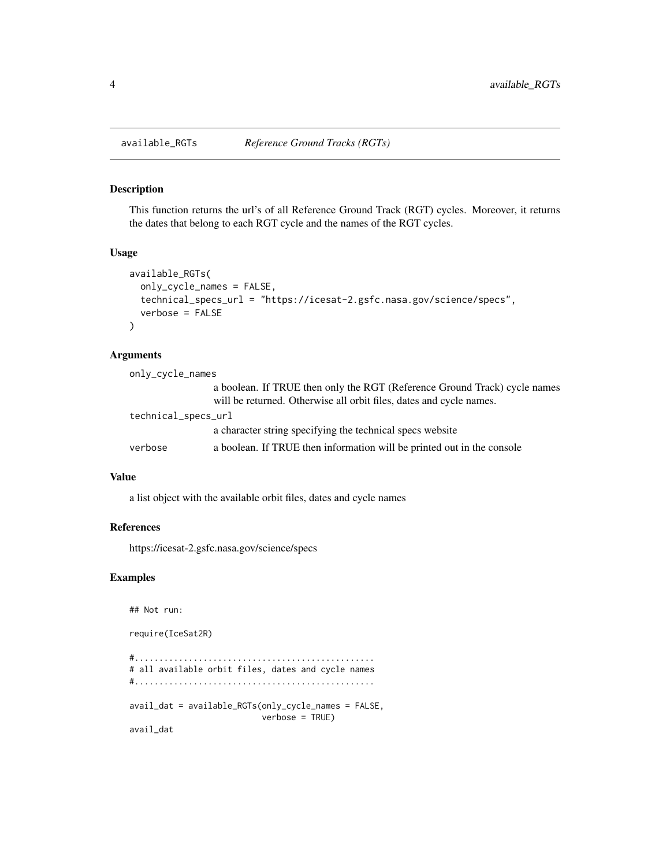#### Description

This function returns the url's of all Reference Ground Track (RGT) cycles. Moreover, it returns the dates that belong to each RGT cycle and the names of the RGT cycles.

#### Usage

```
available_RGTs(
 only_cycle_names = FALSE,
  technical_specs_url = "https://icesat-2.gsfc.nasa.gov/science/specs",
  verbose = FALSE
)
```
#### Arguments

| only_cycle_names    |                                                                                                                                                  |  |
|---------------------|--------------------------------------------------------------------------------------------------------------------------------------------------|--|
|                     | a boolean. If TRUE then only the RGT (Reference Ground Track) cycle names<br>will be returned. Otherwise all orbit files, dates and cycle names. |  |
| technical_specs_url |                                                                                                                                                  |  |
|                     | a character string specifying the technical specs website                                                                                        |  |
| verbose             | a boolean. If TRUE then information will be printed out in the console                                                                           |  |

#### Value

a list object with the available orbit files, dates and cycle names

#### References

https://icesat-2.gsfc.nasa.gov/science/specs

#### Examples

## Not run:

require(IceSat2R)

```
#.................................................
# all available orbit files, dates and cycle names
#.................................................
avail_dat = available_RGTs(only_cycle_names = FALSE,
                          verbose = TRUE)
avail_dat
```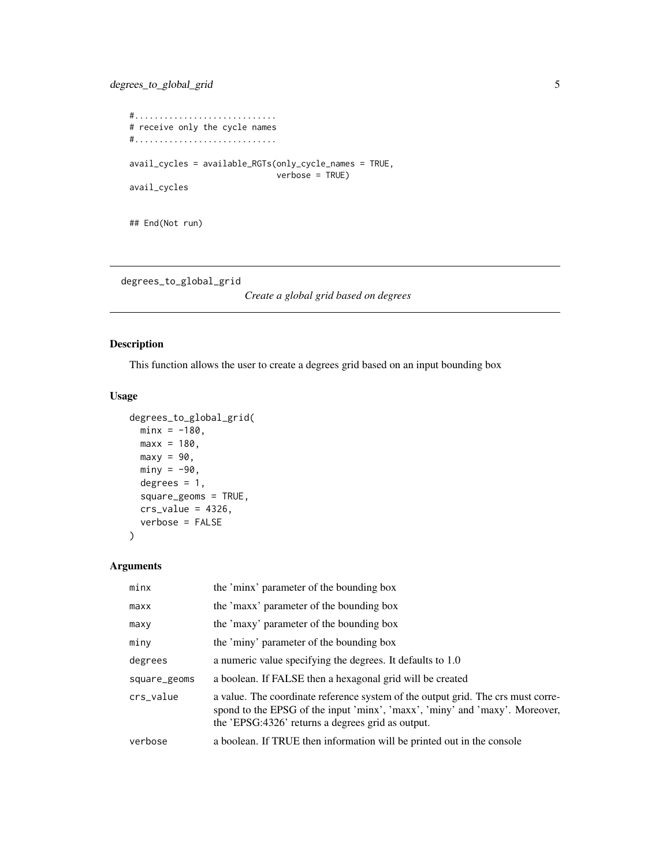```
#.............................
# receive only the cycle names
#.............................
avail_cycles = available_RGTs(only_cycle_names = TRUE,
                              verbose = TRUE)
avail_cycles
## End(Not run)
```
degrees\_to\_global\_grid

*Create a global grid based on degrees*

#### Description

This function allows the user to create a degrees grid based on an input bounding box

#### Usage

```
degrees_to_global_grid(
 minx = -180,
 max x = 180,
 maxy = 90,
 miny = -90,
 degrees = 1,
  square_geoms = TRUE,
  crs_value = 4326,verbose = FALSE
\mathcal{L}
```
#### Arguments

| minx         | the 'minx' parameter of the bounding box                                                                                                                                                                             |
|--------------|----------------------------------------------------------------------------------------------------------------------------------------------------------------------------------------------------------------------|
| maxx         | the 'maxx' parameter of the bounding box                                                                                                                                                                             |
| maxy         | the 'maxy' parameter of the bounding box                                                                                                                                                                             |
| miny         | the 'miny' parameter of the bounding box                                                                                                                                                                             |
| degrees      | a numeric value specifying the degrees. It defaults to 1.0                                                                                                                                                           |
| square_geoms | a boolean. If FALSE then a hexagonal grid will be created                                                                                                                                                            |
| crs_value    | a value. The coordinate reference system of the output grid. The crs must corre-<br>spond to the EPSG of the input 'minx', 'maxx', 'miny' and 'maxy'. Moreover,<br>the 'EPSG:4326' returns a degrees grid as output. |
| verbose      | a boolean. If TRUE then information will be printed out in the console                                                                                                                                               |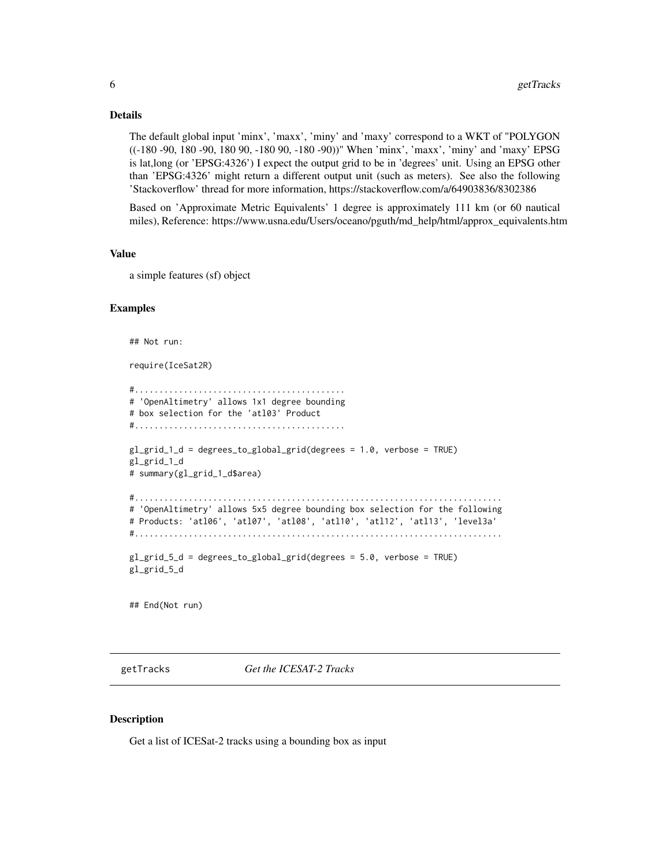#### <span id="page-5-0"></span>Details

The default global input 'minx', 'maxx', 'miny' and 'maxy' correspond to a WKT of "POLYGON ((-180 -90, 180 -90, 180 90, -180 90, -180 -90))" When 'minx', 'maxx', 'miny' and 'maxy' EPSG is lat,long (or 'EPSG:4326') I expect the output grid to be in 'degrees' unit. Using an EPSG other than 'EPSG:4326' might return a different output unit (such as meters). See also the following 'Stackoverflow' thread for more information, https://stackoverflow.com/a/64903836/8302386

Based on 'Approximate Metric Equivalents' 1 degree is approximately 111 km (or 60 nautical miles), Reference: https://www.usna.edu/Users/oceano/pguth/md\_help/html/approx\_equivalents.htm

#### Value

a simple features (sf) object

#### Examples

## Not run:

require(IceSat2R)

```
#...........................................
# 'OpenAltimetry' allows 1x1 degree bounding
# box selection for the 'atl03' Product
#...........................................
gl_grid_1_d = degrees_to_global_grid(degrees = 1.0, verbose = TRUE)
gl_grid_1_d
# summary(gl_grid_1_d$area)
#...........................................................................
# 'OpenAltimetry' allows 5x5 degree bounding box selection for the following
# Products: 'atl06', 'atl07', 'atl08', 'atl10', 'atl12', 'atl13', 'level3a'
#...........................................................................
g_{\text{1\_grid\_5\_d}} = degrees_to_global_grid(degrees = 5.0, verbose = TRUE)
gl_grid_5_d
```
## End(Not run)

getTracks *Get the ICESAT-2 Tracks*

#### Description

Get a list of ICESat-2 tracks using a bounding box as input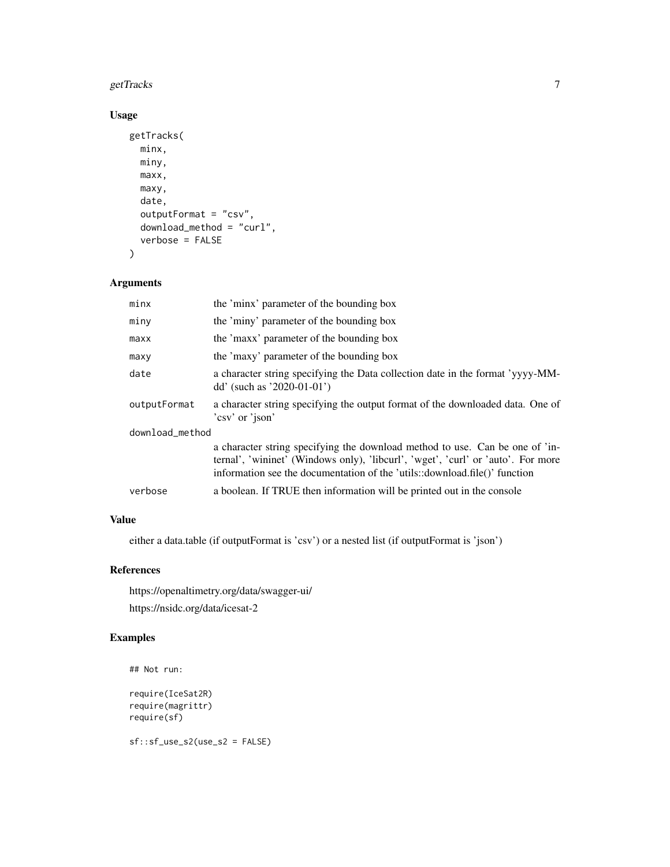#### getTracks 7 and 2012 19:00 the contract of the contract of the contract of the contract of the contract of the contract of the contract of the contract of the contract of the contract of the contract of the contract of the

#### Usage

```
getTracks(
  minx,
  miny,
  maxx,
  maxy,
  date,
  outputFormat = "csv",
  download_method = "curl",
  verbose = FALSE
)
```
#### Arguments

| minx            | the 'minx' parameter of the bounding box                                                                                                                                                                                                       |  |
|-----------------|------------------------------------------------------------------------------------------------------------------------------------------------------------------------------------------------------------------------------------------------|--|
| miny            | the 'miny' parameter of the bounding box                                                                                                                                                                                                       |  |
| maxx            | the 'maxx' parameter of the bounding box                                                                                                                                                                                                       |  |
| maxy            | the 'maxy' parameter of the bounding box                                                                                                                                                                                                       |  |
| date            | a character string specifying the Data collection date in the format 'yyyy-MM-<br>dd' (such as '2020-01-01')                                                                                                                                   |  |
| outputFormat    | a character string specifying the output format of the downloaded data. One of<br>'csv' or 'json'                                                                                                                                              |  |
| download_method |                                                                                                                                                                                                                                                |  |
|                 | a character string specifying the download method to use. Can be one of 'in-<br>ternal', 'wininet' (Windows only), 'libcurl', 'wget', 'curl' or 'auto'. For more<br>information see the documentation of the 'utils::download.file()' function |  |
| verbose         | a boolean. If TRUE then information will be printed out in the console                                                                                                                                                                         |  |
|                 |                                                                                                                                                                                                                                                |  |

#### Value

either a data.table (if outputFormat is 'csv') or a nested list (if outputFormat is 'json')

#### References

https://openaltimetry.org/data/swagger-ui/ https://nsidc.org/data/icesat-2

#### Examples

```
## Not run:
```

```
require(IceSat2R)
require(magrittr)
require(sf)
```
sf::sf\_use\_s2(use\_s2 = FALSE)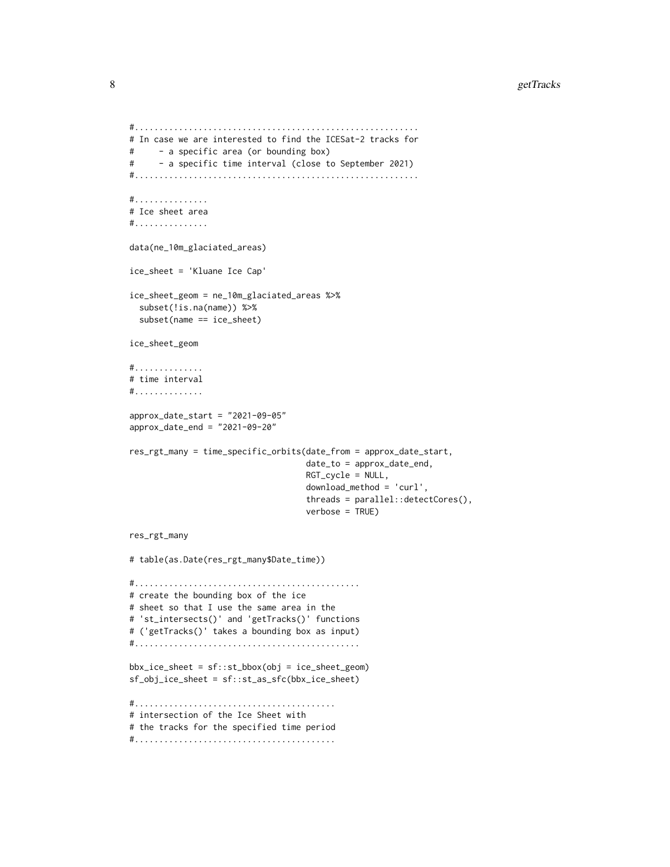```
#..........................................................
# In case we are interested to find the ICESat-2 tracks for
# - a specific area (or bounding box)
# - a specific time interval (close to September 2021)
#..........................................................
#...............
# Ice sheet area
#...............
data(ne_10m_glaciated_areas)
ice_sheet = 'Kluane Ice Cap'
ice_sheet_geom = ne_10m_glaciated_areas %>%
 subset(!is.na(name)) %>%
 subset(name == ice_sheet)
ice_sheet_geom
#..............
# time interval
#..............
approx_date_start = "2021-09-05"
approx_date_end = "2021-09-20"
res_rgt_many = time_specific_orbits(date_from = approx_date_start,
                                    date_to = approx_date_end,
                                    RGT_cycle = NULL,
                                    download_method = 'curl',
                                    threads = parallel::detectCores(),
                                    verbose = TRUE)
res_rgt_many
# table(as.Date(res_rgt_many$Date_time))
#..............................................
# create the bounding box of the ice
# sheet so that I use the same area in the
# 'st_intersects()' and 'getTracks()' functions
# ('getTracks()' takes a bounding box as input)
#..............................................
bbx_ice_sheet = sf::st_bbox(obj = ice_sheet_geom)
sf_obj_ice_sheet = sf::st_as_sfc(bbx_ice_sheet)
#.........................................
# intersection of the Ice Sheet with
# the tracks for the specified time period
#.........................................
```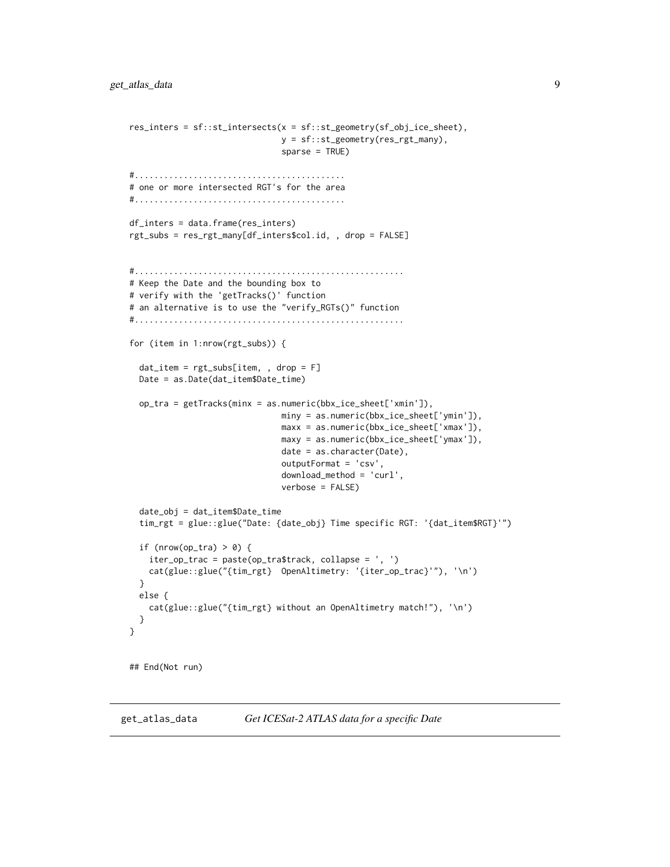```
res_inters = sf::st_intersects(x = sf::st_geometry(sf_obj_ice_sheet),
                               y = sf::st_geometry(res_rgt_many),
                               sparse = TRUE)
#...........................................
# one or more intersected RGT's for the area
#...........................................
df_inters = data.frame(res_inters)
rgt_subs = res_rgt_many[df_inters$col.id, , drop = FALSE]
#.......................................................
# Keep the Date and the bounding box to
# verify with the 'getTracks()' function
# an alternative is to use the "verify_RGTs()" function
#.......................................................
for (item in 1:nrow(rgt_subs)) {
 dat_item = rgt_subs[item, , drop = F]
 Date = as.Date(dat_item$Date_time)
 op_tra = getTracks(minx = as.numeric(bbx_ice_sheet['xmin']),
                               miny = as.numeric(bbx_ice_sheet['ymin']),
                               maxx = as.numeric(bbx_ice_sheet['xmax']),
                               maxy = as.numeric(bbx_ice_sheet['ymax']),
                               date = as.character(Date),
                               outputFormat = 'csv',
                               download_method = 'curl',
                               verbose = FALSE)
 date_obj = dat_item$Date_time
 tim_rgt = glue::glue("Date: {date_obj} Time specific RGT: '{dat_item$RGT}'")
 if (nrow(op_tra) > 0) {
    iter_op_trac = paste(op_tra$track, collapse = ', ')
   cat(glue::glue("{tim_rgt} OpenAltimetry: '{iter_op_trac}'"), '\n')
 }
 else {
    cat(glue::glue("{tim_rgt} without an OpenAltimetry match!"), '\n')
 }
}
## End(Not run)
```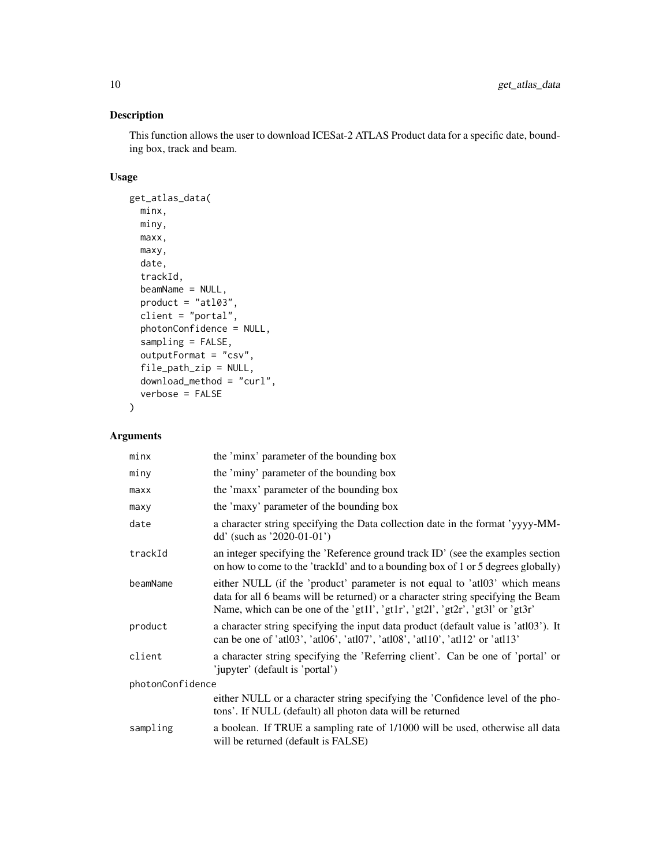#### Description

This function allows the user to download ICESat-2 ATLAS Product data for a specific date, bounding box, track and beam.

#### Usage

```
get_atlas_data(
 minx,
 miny,
 maxx,
 maxy,
 date,
  trackId,
 beamName = NULL,
 product = "at103",client = "portal",
  photonConfidence = NULL,
  sampling = FALSE,
  outputFormat = "csv",
  file_path_zip = NULL,
  download_method = "curl",
  verbose = FALSE
\mathcal{L}
```
#### Arguments

| minx             | the 'minx' parameter of the bounding box                                                                                                                                                                                                          |  |
|------------------|---------------------------------------------------------------------------------------------------------------------------------------------------------------------------------------------------------------------------------------------------|--|
| miny             | the 'miny' parameter of the bounding box                                                                                                                                                                                                          |  |
| maxx             | the 'maxx' parameter of the bounding box                                                                                                                                                                                                          |  |
| maxy             | the 'maxy' parameter of the bounding box                                                                                                                                                                                                          |  |
| date             | a character string specifying the Data collection date in the format 'yyyy-MM-<br>dd' (such as '2020-01-01')                                                                                                                                      |  |
| trackId          | an integer specifying the 'Reference ground track ID' (see the examples section<br>on how to come to the 'trackId' and to a bounding box of 1 or 5 degrees globally)                                                                              |  |
| beamName         | either NULL (if the 'product' parameter is not equal to 'atl03' which means<br>data for all 6 beams will be returned) or a character string specifying the Beam<br>Name, which can be one of the 'gt1l', 'gt1r', 'gt2l', 'gt2r', 'gt3l' or 'gt3r' |  |
| product          | a character string specifying the input data product (default value is 'atl03'). It<br>can be one of 'atl03', 'atl06', 'atl07', 'atl08', 'atl10', 'atl12' or 'atl13'                                                                              |  |
| client           | a character string specifying the 'Referring client'. Can be one of 'portal' or<br>'jupyter' (default is 'portal')                                                                                                                                |  |
| photonConfidence |                                                                                                                                                                                                                                                   |  |
|                  | either NULL or a character string specifying the 'Confidence level of the pho-<br>tons'. If NULL (default) all photon data will be returned                                                                                                       |  |
| sampling         | a boolean. If TRUE a sampling rate of 1/1000 will be used, otherwise all data<br>will be returned (default is FALSE)                                                                                                                              |  |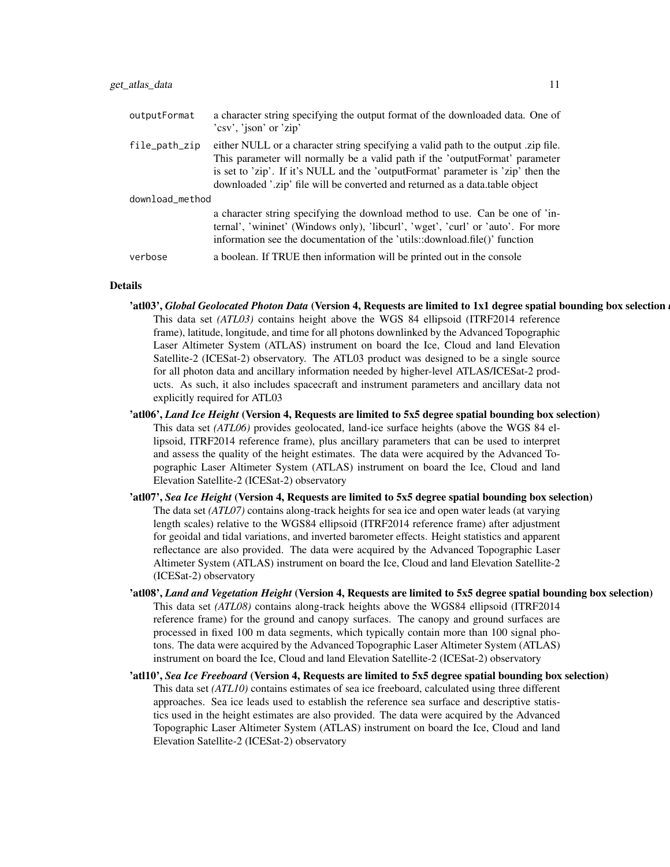| outputFormat    | a character string specifying the output format of the downloaded data. One of<br>'csv', 'json' or 'zip'                                                                                                                                                                                                                              |  |
|-----------------|---------------------------------------------------------------------------------------------------------------------------------------------------------------------------------------------------------------------------------------------------------------------------------------------------------------------------------------|--|
| file_path_zip   | either NULL or a character string specifying a valid path to the output zip file.<br>This parameter will normally be a valid path if the 'outputFormat' parameter<br>is set to 'zip'. If it's NULL and the 'outputFormat' parameter is 'zip' then the<br>downloaded '.zip' file will be converted and returned as a data.table object |  |
| download_method |                                                                                                                                                                                                                                                                                                                                       |  |
|                 | a character string specifying the download method to use. Can be one of 'in-<br>ternal', 'wininet' (Windows only), 'libcurl', 'wget', 'curl' or 'auto'. For more<br>information see the documentation of the 'utils::download.file()' function                                                                                        |  |
| verbose         | a boolean. If TRUE then information will be printed out in the console                                                                                                                                                                                                                                                                |  |

#### Details

- 'atl03', *Global Geolocated Photon Data* (Version 4, Requests are limited to 1x1 degree spatial bounding box selection This data set *(ATL03)* contains height above the WGS 84 ellipsoid (ITRF2014 reference frame), latitude, longitude, and time for all photons downlinked by the Advanced Topographic Laser Altimeter System (ATLAS) instrument on board the Ice, Cloud and land Elevation Satellite-2 (ICESat-2) observatory. The ATL03 product was designed to be a single source for all photon data and ancillary information needed by higher-level ATLAS/ICESat-2 products. As such, it also includes spacecraft and instrument parameters and ancillary data not explicitly required for ATL03
- 'atl06', *Land Ice Height* (Version 4, Requests are limited to 5x5 degree spatial bounding box selection) This data set *(ATL06)* provides geolocated, land-ice surface heights (above the WGS 84 ellipsoid, ITRF2014 reference frame), plus ancillary parameters that can be used to interpret and assess the quality of the height estimates. The data were acquired by the Advanced Topographic Laser Altimeter System (ATLAS) instrument on board the Ice, Cloud and land Elevation Satellite-2 (ICESat-2) observatory
- 'atl07', *Sea Ice Height* (Version 4, Requests are limited to 5x5 degree spatial bounding box selection) The data set *(ATL07)* contains along-track heights for sea ice and open water leads (at varying length scales) relative to the WGS84 ellipsoid (ITRF2014 reference frame) after adjustment for geoidal and tidal variations, and inverted barometer effects. Height statistics and apparent reflectance are also provided. The data were acquired by the Advanced Topographic Laser Altimeter System (ATLAS) instrument on board the Ice, Cloud and land Elevation Satellite-2 (ICESat-2) observatory
- 'atl08', *Land and Vegetation Height* (Version 4, Requests are limited to 5x5 degree spatial bounding box selection) This data set *(ATL08)* contains along-track heights above the WGS84 ellipsoid (ITRF2014 reference frame) for the ground and canopy surfaces. The canopy and ground surfaces are processed in fixed 100 m data segments, which typically contain more than 100 signal photons. The data were acquired by the Advanced Topographic Laser Altimeter System (ATLAS) instrument on board the Ice, Cloud and land Elevation Satellite-2 (ICESat-2) observatory
- 'atl10', *Sea Ice Freeboard* (Version 4, Requests are limited to 5x5 degree spatial bounding box selection) This data set *(ATL10)* contains estimates of sea ice freeboard, calculated using three different approaches. Sea ice leads used to establish the reference sea surface and descriptive statistics used in the height estimates are also provided. The data were acquired by the Advanced Topographic Laser Altimeter System (ATLAS) instrument on board the Ice, Cloud and land Elevation Satellite-2 (ICESat-2) observatory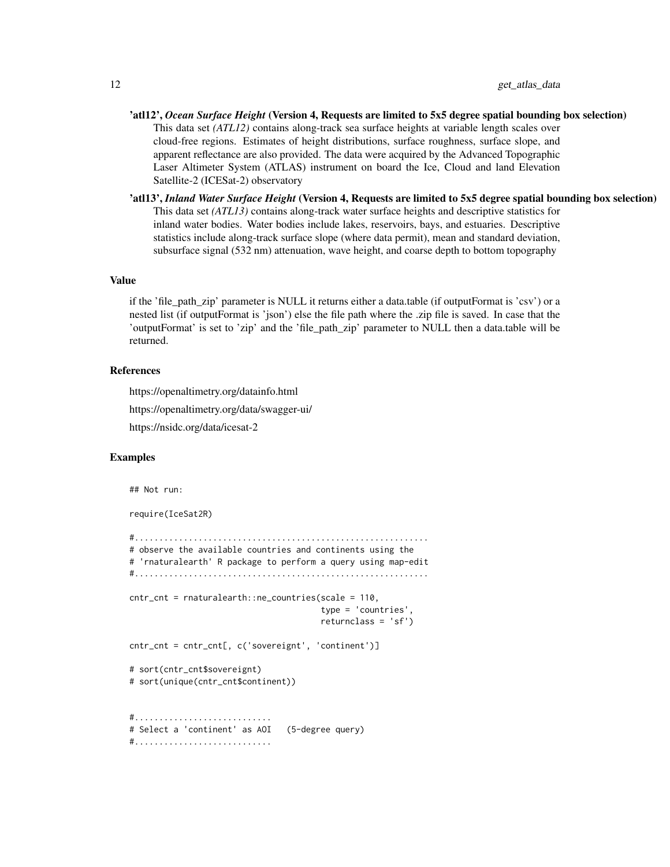- 'atl12', *Ocean Surface Height* (Version 4, Requests are limited to 5x5 degree spatial bounding box selection) This data set *(ATL12)* contains along-track sea surface heights at variable length scales over cloud-free regions. Estimates of height distributions, surface roughness, surface slope, and apparent reflectance are also provided. The data were acquired by the Advanced Topographic Laser Altimeter System (ATLAS) instrument on board the Ice, Cloud and land Elevation Satellite-2 (ICESat-2) observatory
- 'atl13', *Inland Water Surface Height* (Version 4, Requests are limited to 5x5 degree spatial bounding box selection) This data set *(ATL13)* contains along-track water surface heights and descriptive statistics for inland water bodies. Water bodies include lakes, reservoirs, bays, and estuaries. Descriptive statistics include along-track surface slope (where data permit), mean and standard deviation, subsurface signal (532 nm) attenuation, wave height, and coarse depth to bottom topography

#### Value

if the 'file\_path\_zip' parameter is NULL it returns either a data.table (if outputFormat is 'csv') or a nested list (if outputFormat is 'json') else the file path where the .zip file is saved. In case that the 'outputFormat' is set to 'zip' and the 'file\_path\_zip' parameter to NULL then a data.table will be returned.

#### References

https://openaltimetry.org/datainfo.html

https://openaltimetry.org/data/swagger-ui/

https://nsidc.org/data/icesat-2

#### Examples

```
## Not run:
require(IceSat2R)
#............................................................
# observe the available countries and continents using the
# 'rnaturalearth' R package to perform a query using map-edit
#............................................................
cntr_cnt = rnaturalearth::ne_countries(scale = 110,
                                       type = 'countries',
                                       returnclass = 'sf')
cntr_cnt = cntr_cnt[, c('sovereignt', 'continent')]
# sort(cntr_cnt$sovereignt)
# sort(unique(cntr_cnt$continent))
#............................
# Select a 'continent' as AOI (5-degree query)
#............................
```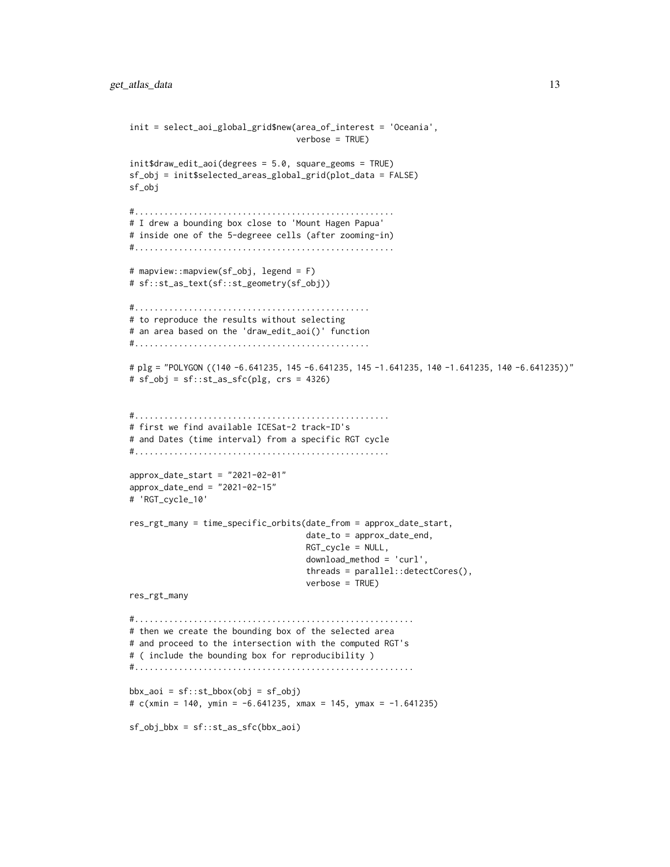```
init = select_aoi_global_grid$new(area_of_interest = 'Oceania',
                                  verbose = TRUE)
init$draw_edit_aoi(degrees = 5.0, square_geoms = TRUE)
sf_obj = init$selected_areas_global_grid(plot_data = FALSE)
sf_obj
#.....................................................
# I drew a bounding box close to 'Mount Hagen Papua'
# inside one of the 5-degreee cells (after zooming-in)
#.....................................................
# mapview::mapview(sf_obj, legend = F)
# sf::st_as_text(sf::st_geometry(sf_obj))
#................................................
# to reproduce the results without selecting
# an area based on the 'draw_edit_aoi()' function
#................................................
# plg = "POLYGON ((140 -6.641235, 145 -6.641235, 145 -1.641235, 140 -1.641235, 140 -6.641235))"
# sf_obj = sf::st_as_sfc(plg, crs = 4326)
#....................................................
# first we find available ICESat-2 track-ID's
# and Dates (time interval) from a specific RGT cycle
#....................................................
approx_date_start = "2021-02-01"
approx_date_end = "2021-02-15"
# 'RGT_cycle_10'
res_rgt_many = time_specific_orbits(date_from = approx_date_start,
                                    date_to = approx_date_end,
                                    RGT_cycle = NULL,
                                    download_method = 'curl',
                                    threads = parallel::detectCores(),
                                    verbose = TRUE)
res_rgt_many
#.........................................................
# then we create the bounding box of the selected area
# and proceed to the intersection with the computed RGT's
# ( include the bounding box for reproducibility )
#.........................................................
bbx<sub>-</sub>aoi = sf::st_bbox(obj = sf_obj)
# c(xmin = 140, ymin = -6.641235, xmax = 145, ymax = -1.641235)
sf\_obj\_bbx = sf::st\_as\_sfc(bbx\_aoi)
```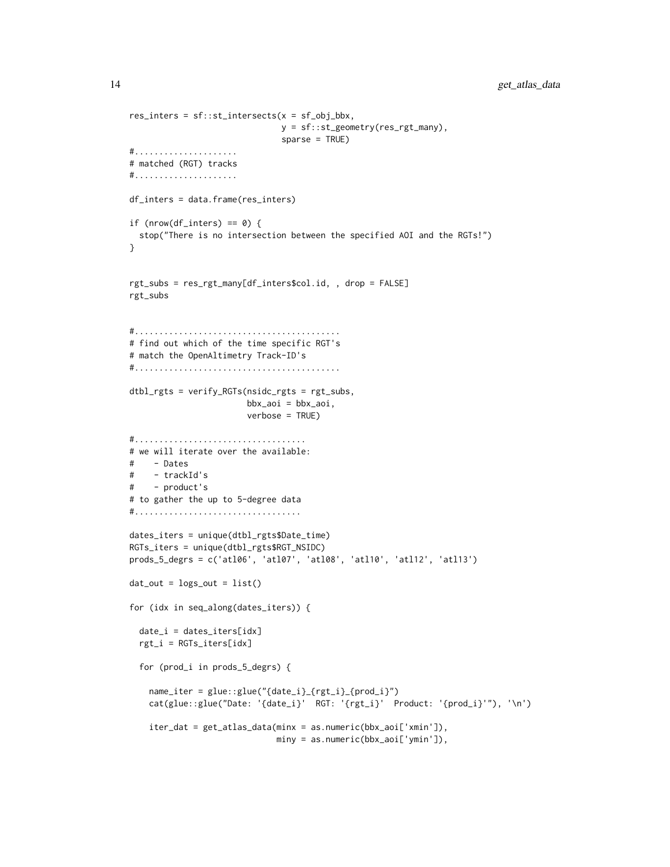```
res\_inters = sf::st\_intersects(x = sf\_obj_bbx,y = sf::st_geometry(res_rgt_many),
                              sparse = TRUE)
#.....................
# matched (RGT) tracks
#.....................
df_inters = data.frame(res_inters)
if (nrow(df_inters) == 0) {
  stop("There is no intersection between the specified AOI and the RGTs!")
}
rgt_subs = res_rgt_many[df_inters$col.id, , drop = FALSE]
rgt_subs
#..........................................
# find out which of the time specific RGT's
# match the OpenAltimetry Track-ID's
#..........................................
dtbl_rgts = verify_RGTs(nsidc_rgts = rgt_subs,
                       bbx_aoi = bbx_aoi,
                        verbose = TRUE)
#...................................
# we will iterate over the available:
# - Dates
# - trackId's
# - product's
# to gather the up to 5-degree data
#..................................
dates_iters = unique(dtbl_rgts$Date_time)
RGTs_iters = unique(dtbl_rgts$RGT_NSIDC)
prods_5_degrs = c('atl06', 'atl07', 'atl08', 'atl10', 'atl12', 'atl13')
dat\_out = logs_out = list()for (idx in seq_along(dates_iters)) {
  date_i = dates_iters[idx]rgt_i = RGTs_iters[idx]
  for (prod_i in prods_5_degrs) {
    name_iter = glue::glue("{date_i}_{rgt_i}_{prod_i}")
    cat(glue::glue("Date: '{date_i}' RGT: '{rgt_i}' Product: '{prod_i}'"), '\n')
    iter_dat = get_atlas_data(minx = as.numeric(bbx_aoi['xmin']),
                             miny = as.numeric(bbx_aoi['ymin']),
```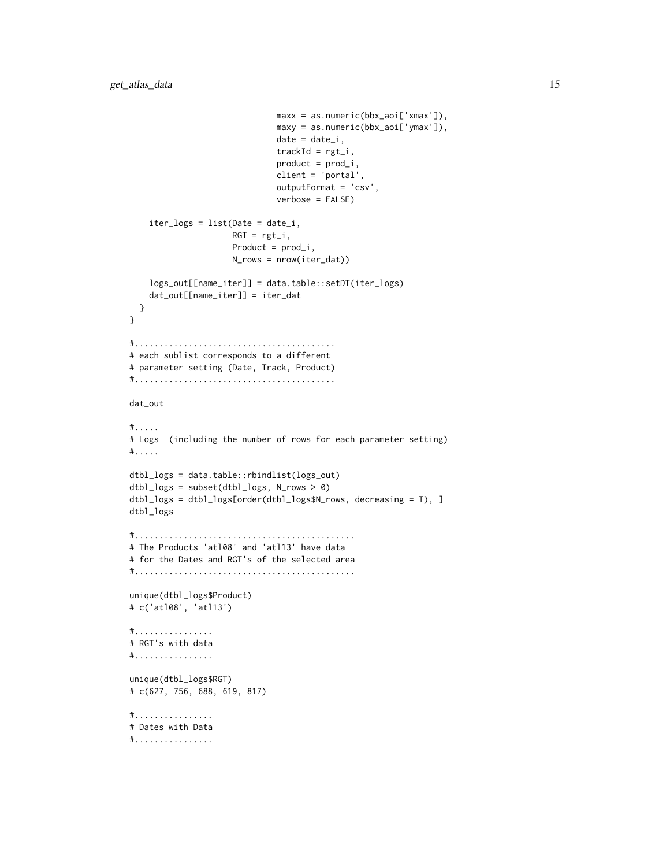```
max x = as . numberic(bbx_aoi['xmax']),
                              maxy = as.numeric(bbx_aoi['ymax']),
                              date = date_i,trackId = rgt_i,product = prod_i,client = 'portal',
                              outputFormat = 'csv',
                              verbose = FALSE)
    iter_logs = list(Date = date_i,
                     RGT = rgt_i,Product = prod_i,
                     N_rows = nrow(iter_dat))
    logs_out[[name_iter]] = data.table::setDT(iter_logs)
    dat_out[[name_iter]] = iter_dat
  }
}
#.........................................
# each sublist corresponds to a different
# parameter setting (Date, Track, Product)
#.........................................
dat_out
#.....
# Logs (including the number of rows for each parameter setting)
#.....
dtbl_logs = data.table::rbindlist(logs_out)
dtbl_logs = subset(dtbl_logs, N_rows > 0)
dtbl_logs = dtbl_logs[order(dtbl_logs$N_rows, decreasing = T), ]
dtbl_logs
#.............................................
# The Products 'atl08' and 'atl13' have data
# for the Dates and RGT's of the selected area
#.............................................
unique(dtbl_logs$Product)
# c('atl08', 'atl13')
#................
# RGT's with data
#................
unique(dtbl_logs$RGT)
# c(627, 756, 688, 619, 817)
#................
# Dates with Data
#................
```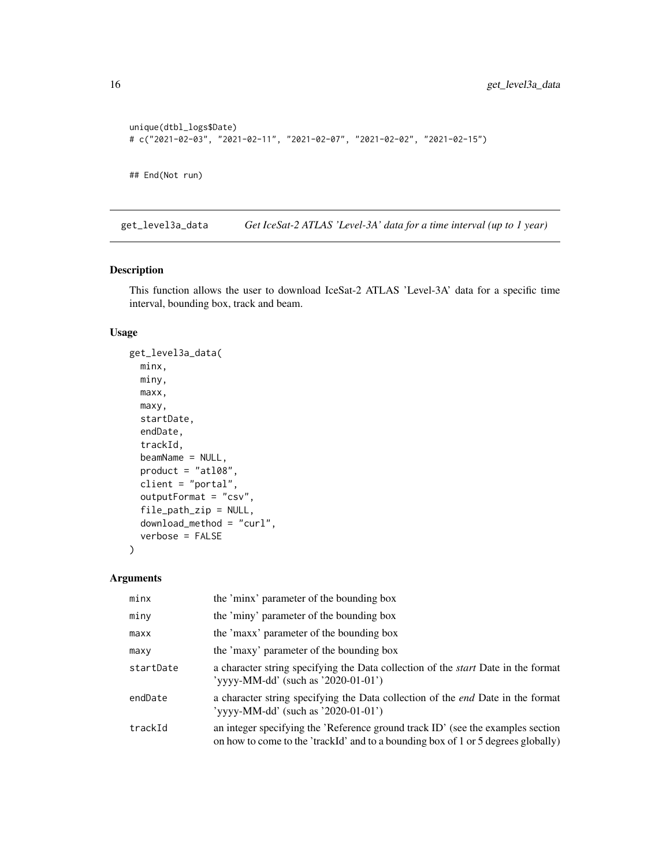```
unique(dtbl_logs$Date)
# c("2021-02-03", "2021-02-11", "2021-02-07", "2021-02-02", "2021-02-15")
## End(Not run)
```
get\_level3a\_data *Get IceSat-2 ATLAS 'Level-3A' data for a time interval (up to 1 year)*

#### Description

This function allows the user to download IceSat-2 ATLAS 'Level-3A' data for a specific time interval, bounding box, track and beam.

#### Usage

```
get_level3a_data(
 minx,
 miny,
 maxx,
 maxy,
  startDate,
  endDate,
  trackId,
 beamName = NULL,
 product = "at108",client = "portal",
  outputFormat = "csv",
  file_path_zip = NULL,
  download_method = "curl",
  verbose = FALSE
\lambda
```
#### Arguments

| minx      | the 'minx' parameter of the bounding box                                                                                                                             |
|-----------|----------------------------------------------------------------------------------------------------------------------------------------------------------------------|
| miny      | the 'miny' parameter of the bounding box                                                                                                                             |
| maxx      | the 'maxx' parameter of the bounding box                                                                                                                             |
| maxy      | the 'maxy' parameter of the bounding box                                                                                                                             |
| startDate | a character string specifying the Data collection of the <i>start</i> Date in the format<br>'yyyy-MM-dd' (such as '2020-01-01')                                      |
| endDate   | a character string specifying the Data collection of the <i>end</i> Date in the format<br>'yyyy-MM-dd' (such as '2020-01-01')                                        |
| trackId   | an integer specifying the 'Reference ground track ID' (see the examples section<br>on how to come to the 'trackId' and to a bounding box of 1 or 5 degrees globally) |

<span id="page-15-0"></span>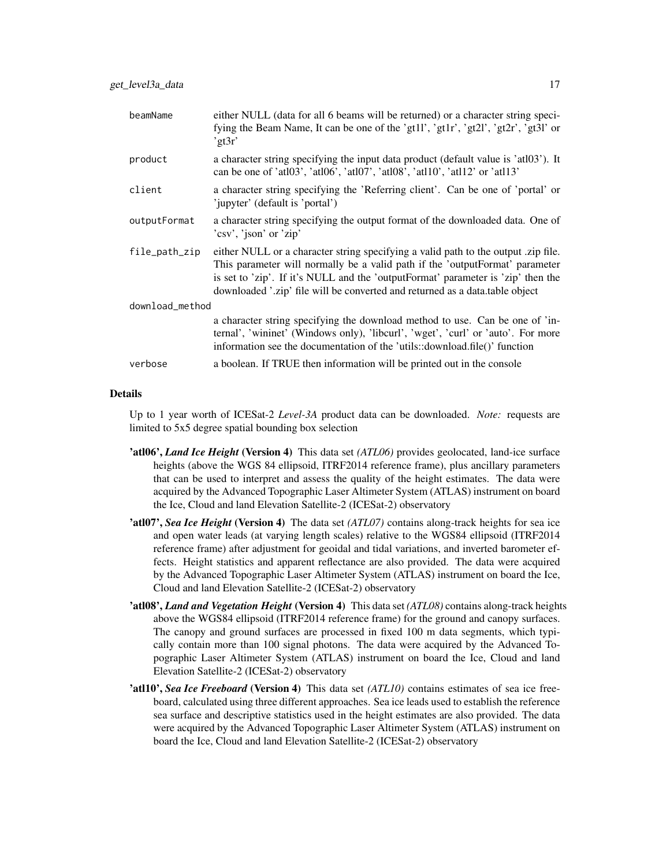| beamName        | either NULL (data for all 6 beams will be returned) or a character string speci-<br>fying the Beam Name, It can be one of the 'gt1l', 'gt1r', 'gt2l', 'gt2r', 'gt3l' or<br>'gt $3r'$                                                                                                                                                   |  |
|-----------------|----------------------------------------------------------------------------------------------------------------------------------------------------------------------------------------------------------------------------------------------------------------------------------------------------------------------------------------|--|
| product         | a character string specifying the input data product (default value is 'atl03'). It<br>can be one of 'atl03', 'atl06', 'atl07', 'atl08', 'atl10', 'atl12' or 'atl13'                                                                                                                                                                   |  |
| client          | a character string specifying the 'Referring client'. Can be one of 'portal' or<br>'jupyter' (default is 'portal')                                                                                                                                                                                                                     |  |
| outputFormat    | a character string specifying the output format of the downloaded data. One of<br>'csv', 'json' or 'zip'                                                                                                                                                                                                                               |  |
| file_path_zip   | either NULL or a character string specifying a valid path to the output .zip file.<br>This parameter will normally be a valid path if the 'outputFormat' parameter<br>is set to 'zip'. If it's NULL and the 'outputFormat' parameter is 'zip' then the<br>downloaded '.zip' file will be converted and returned as a data.table object |  |
| download_method |                                                                                                                                                                                                                                                                                                                                        |  |
|                 | a character string specifying the download method to use. Can be one of 'in-<br>ternal', 'wininet' (Windows only), 'libcurl', 'wget', 'curl' or 'auto'. For more<br>information see the documentation of the 'utils::download.file()' function                                                                                         |  |
| verbose         | a boolean. If TRUE then information will be printed out in the console                                                                                                                                                                                                                                                                 |  |
|                 |                                                                                                                                                                                                                                                                                                                                        |  |

#### Details

Up to 1 year worth of ICESat-2 *Level-3A* product data can be downloaded. *Note:* requests are limited to 5x5 degree spatial bounding box selection

- 'atl06', *Land Ice Height* (Version 4) This data set *(ATL06)* provides geolocated, land-ice surface heights (above the WGS 84 ellipsoid, ITRF2014 reference frame), plus ancillary parameters that can be used to interpret and assess the quality of the height estimates. The data were acquired by the Advanced Topographic Laser Altimeter System (ATLAS) instrument on board the Ice, Cloud and land Elevation Satellite-2 (ICESat-2) observatory
- 'atl07', *Sea Ice Height* (Version 4) The data set *(ATL07)* contains along-track heights for sea ice and open water leads (at varying length scales) relative to the WGS84 ellipsoid (ITRF2014 reference frame) after adjustment for geoidal and tidal variations, and inverted barometer effects. Height statistics and apparent reflectance are also provided. The data were acquired by the Advanced Topographic Laser Altimeter System (ATLAS) instrument on board the Ice, Cloud and land Elevation Satellite-2 (ICESat-2) observatory
- 'atl08', *Land and Vegetation Height* (Version 4) This data set *(ATL08)* contains along-track heights above the WGS84 ellipsoid (ITRF2014 reference frame) for the ground and canopy surfaces. The canopy and ground surfaces are processed in fixed 100 m data segments, which typically contain more than 100 signal photons. The data were acquired by the Advanced Topographic Laser Altimeter System (ATLAS) instrument on board the Ice, Cloud and land Elevation Satellite-2 (ICESat-2) observatory
- 'atl10', *Sea Ice Freeboard* (Version 4) This data set *(ATL10)* contains estimates of sea ice freeboard, calculated using three different approaches. Sea ice leads used to establish the reference sea surface and descriptive statistics used in the height estimates are also provided. The data were acquired by the Advanced Topographic Laser Altimeter System (ATLAS) instrument on board the Ice, Cloud and land Elevation Satellite-2 (ICESat-2) observatory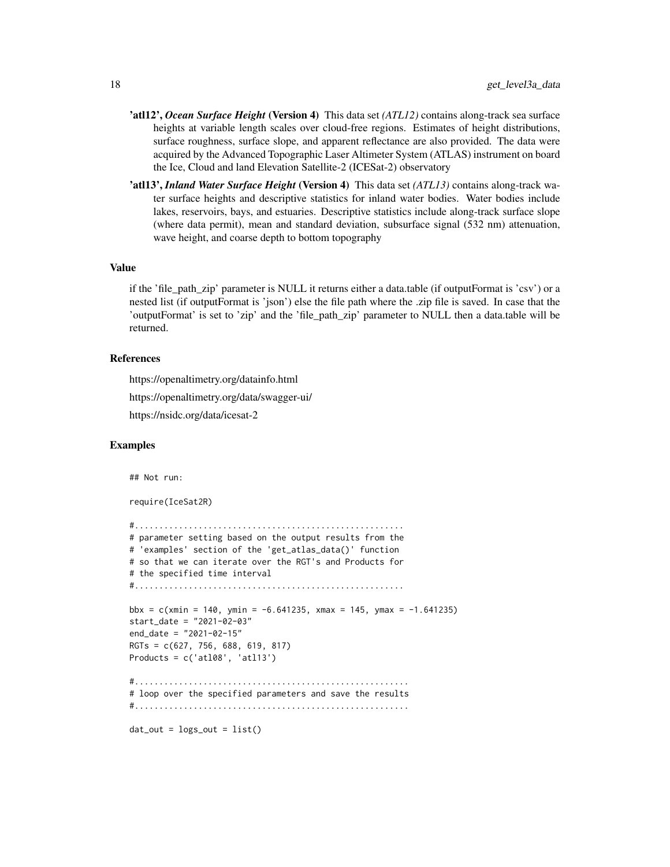- 'atl12', *Ocean Surface Height* (Version 4) This data set *(ATL12)* contains along-track sea surface heights at variable length scales over cloud-free regions. Estimates of height distributions, surface roughness, surface slope, and apparent reflectance are also provided. The data were acquired by the Advanced Topographic Laser Altimeter System (ATLAS) instrument on board the Ice, Cloud and land Elevation Satellite-2 (ICESat-2) observatory
- 'atl13', *Inland Water Surface Height* (Version 4) This data set *(ATL13)* contains along-track water surface heights and descriptive statistics for inland water bodies. Water bodies include lakes, reservoirs, bays, and estuaries. Descriptive statistics include along-track surface slope (where data permit), mean and standard deviation, subsurface signal (532 nm) attenuation, wave height, and coarse depth to bottom topography

#### Value

if the 'file\_path\_zip' parameter is NULL it returns either a data.table (if outputFormat is 'csv') or a nested list (if outputFormat is 'json') else the file path where the .zip file is saved. In case that the 'outputFormat' is set to 'zip' and the 'file\_path\_zip' parameter to NULL then a data.table will be returned.

#### References

https://openaltimetry.org/datainfo.html

https://openaltimetry.org/data/swagger-ui/

https://nsidc.org/data/icesat-2

#### Examples

```
## Not run:
require(IceSat2R)
#.......................................................
# parameter setting based on the output results from the
# 'examples' section of the 'get_atlas_data()' function
# so that we can iterate over the RGT's and Products for
# the specified time interval
#.......................................................
bbx = c(xmin = 140, ymin = -6.641235, xmax = 145, ymax = -1.641235)start_date = "2021-02-03"
end_date = "2021-02-15"
RGTs = c(627, 756, 688, 619, 817)
Products = c('at108', 'at113')#........................................................
# loop over the specified parameters and save the results
#........................................................
```
 $dat_out = logs_out = list()$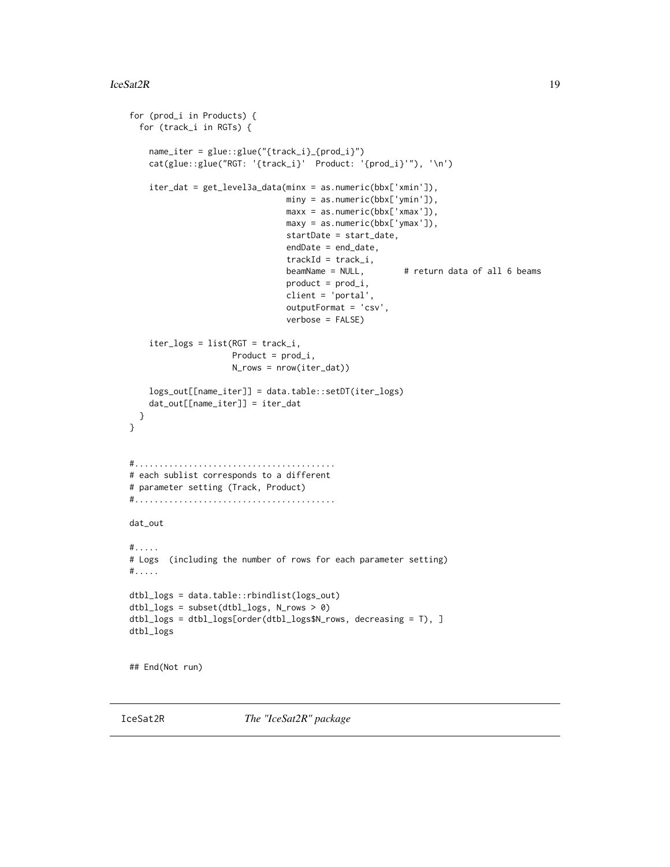```
for (prod_i in Products) {
 for (track_i in RGTs) {
    name_iter = glue::glue("{track_i}_{prod_i}")
   cat(glue::glue("RGT: '{track_i}' Product: '{prod_i}'"), '\n')
    iter_dat = get_level3a_data(minx = as.numeric(bbx['xmin']),
                                miny = as.numeric(bbx['ymin']),
                                maxx = as.numeric(bbx['xmax']),
                                maxy = as.numeric(bbx['ymax']),
                                startDate = start_date,
                                endDate = end_date,
                                trackId = track_i,beamName = NULL, \qquad # return data of all 6 beams
                                product = prod_i,
                                client = 'portal',
                                outputFormat = 'csv',
                                verbose = FALSE)
    iter_logs = list(RGT = track_i,
                     Product = prod_i,
                     N_rows = nrow(iter_dat))
    logs_out[[name_iter]] = data.table::setDT(iter_logs)
    dat_out[[name_iter]] = iter_dat
 }
}
#.........................................
# each sublist corresponds to a different
# parameter setting (Track, Product)
#.........................................
dat_out
#.....
# Logs (including the number of rows for each parameter setting)
#.....
dtbl_logs = data.table::rbindlist(logs_out)
dtbl_logs = subset(dtbl_logs, N_rows > 0)
dtbl_logs = dtbl_logs[order(dtbl_logs$N_rows, decreasing = T), ]
dtbl_logs
## End(Not run)
```
IceSat2R *The "IceSat2R" package*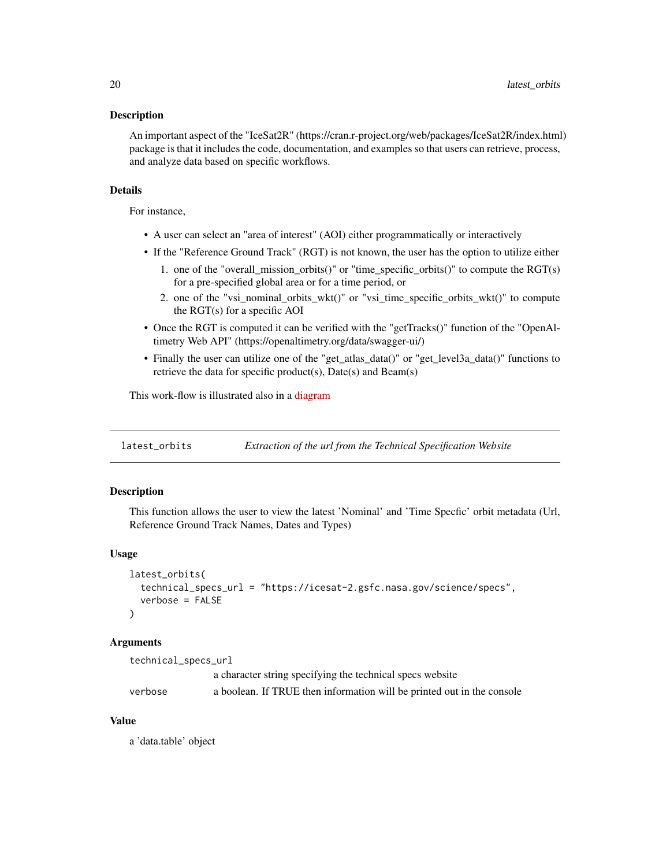#### <span id="page-19-0"></span>**Description**

An important aspect of the "IceSat2R" (https://cran.r-project.org/web/packages/IceSat2R/index.html) package is that it includes the code, documentation, and examples so that users can retrieve, process, and analyze data based on specific workflows.

#### Details

For instance,

- A user can select an "area of interest" (AOI) either programmatically or interactively
- If the "Reference Ground Track" (RGT) is not known, the user has the option to utilize either
	- 1. one of the "overall\_mission\_orbits()" or "time\_specific\_orbits()" to compute the RGT(s) for a pre-specified global area or for a time period, or
	- 2. one of the "vsi\_nominal\_orbits\_wkt()" or "vsi\_time\_specific\_orbits\_wkt()" to compute the RGT(s) for a specific AOI
- Once the RGT is computed it can be verified with the "getTracks()" function of the "OpenAltimetry Web API" (https://openaltimetry.org/data/swagger-ui/)
- Finally the user can utilize one of the "get\_atlas\_data()" or "get\_level3a\_data()" functions to retrieve the data for specific product(s), Date(s) and Beam(s)

This work-flow is illustrated also in a [diagram](https://raw.githubusercontent.com/mlampros/IceSat2R/master/inst/joss_paper/figures/icesat_2_diagram.png)

latest\_orbits *Extraction of the url from the Technical Specification Website*

#### Description

This function allows the user to view the latest 'Nominal' and 'Time Specfic' orbit metadata (Url, Reference Ground Track Names, Dates and Types)

#### Usage

```
latest_orbits(
  technical_specs_url = "https://icesat-2.gsfc.nasa.gov/science/specs",
  verbose = FALSE
)
```
#### Arguments

| technical_specs_url |                                                                        |
|---------------------|------------------------------------------------------------------------|
|                     | a character string specifying the technical specs website              |
| verbose             | a boolean. If TRUE then information will be printed out in the console |

#### Value

a 'data.table' object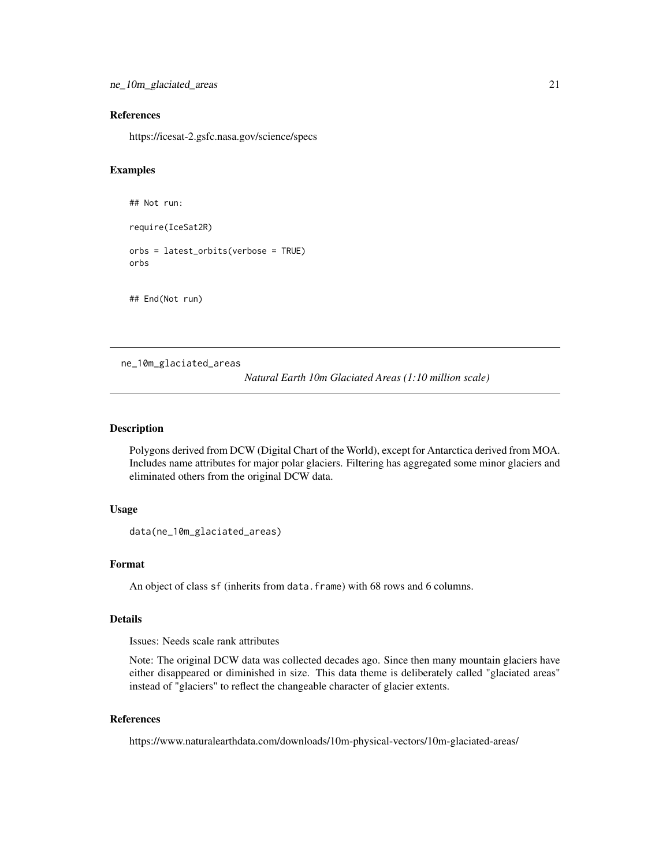<span id="page-20-0"></span>ne\_10m\_glaciated\_areas 21

#### References

https://icesat-2.gsfc.nasa.gov/science/specs

#### Examples

```
## Not run:
require(IceSat2R)
orbs = latest_orbits(verbose = TRUE)
orbs
## End(Not run)
```
ne\_10m\_glaciated\_areas

*Natural Earth 10m Glaciated Areas (1:10 million scale)*

#### Description

Polygons derived from DCW (Digital Chart of the World), except for Antarctica derived from MOA. Includes name attributes for major polar glaciers. Filtering has aggregated some minor glaciers and eliminated others from the original DCW data.

#### Usage

data(ne\_10m\_glaciated\_areas)

#### Format

An object of class sf (inherits from data.frame) with 68 rows and 6 columns.

#### Details

Issues: Needs scale rank attributes

Note: The original DCW data was collected decades ago. Since then many mountain glaciers have either disappeared or diminished in size. This data theme is deliberately called "glaciated areas" instead of "glaciers" to reflect the changeable character of glacier extents.

#### References

https://www.naturalearthdata.com/downloads/10m-physical-vectors/10m-glaciated-areas/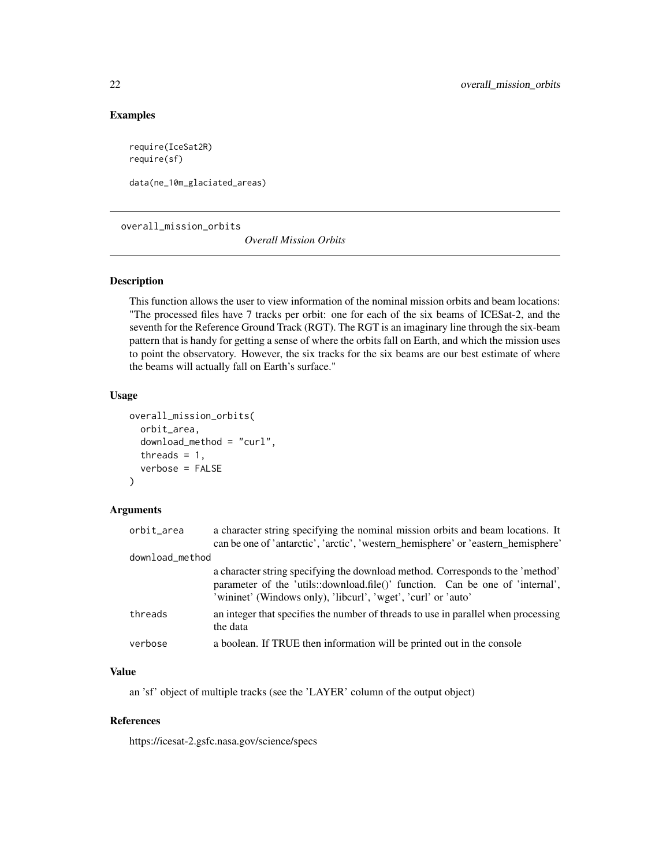#### Examples

require(IceSat2R) require(sf)

data(ne\_10m\_glaciated\_areas)

overall\_mission\_orbits

*Overall Mission Orbits*

#### Description

This function allows the user to view information of the nominal mission orbits and beam locations: "The processed files have 7 tracks per orbit: one for each of the six beams of ICESat-2, and the seventh for the Reference Ground Track (RGT). The RGT is an imaginary line through the six-beam pattern that is handy for getting a sense of where the orbits fall on Earth, and which the mission uses to point the observatory. However, the six tracks for the six beams are our best estimate of where the beams will actually fall on Earth's surface."

#### Usage

```
overall_mission_orbits(
  orbit_area,
  download_method = "curl",
  threads = 1,
  verbose = FALSE
)
```
#### Arguments

| orbit_area      | a character string specifying the nominal mission orbits and beam locations. It                                                                                                                                                  |
|-----------------|----------------------------------------------------------------------------------------------------------------------------------------------------------------------------------------------------------------------------------|
|                 | can be one of 'antarctic', 'arctic', 'western_hemisphere' or 'eastern_hemisphere'                                                                                                                                                |
| download_method |                                                                                                                                                                                                                                  |
|                 | a character string specifying the download method. Corresponds to the 'method'<br>parameter of the 'utils::download.file()' function. Can be one of 'internal',<br>'wininet' (Windows only), 'libcurl', 'wget', 'curl' or 'auto' |
| threads         | an integer that specifies the number of threads to use in parallel when processing<br>the data                                                                                                                                   |
| verbose         | a boolean. If TRUE then information will be printed out in the console                                                                                                                                                           |

#### Value

an 'sf' object of multiple tracks (see the 'LAYER' column of the output object)

#### References

https://icesat-2.gsfc.nasa.gov/science/specs

<span id="page-21-0"></span>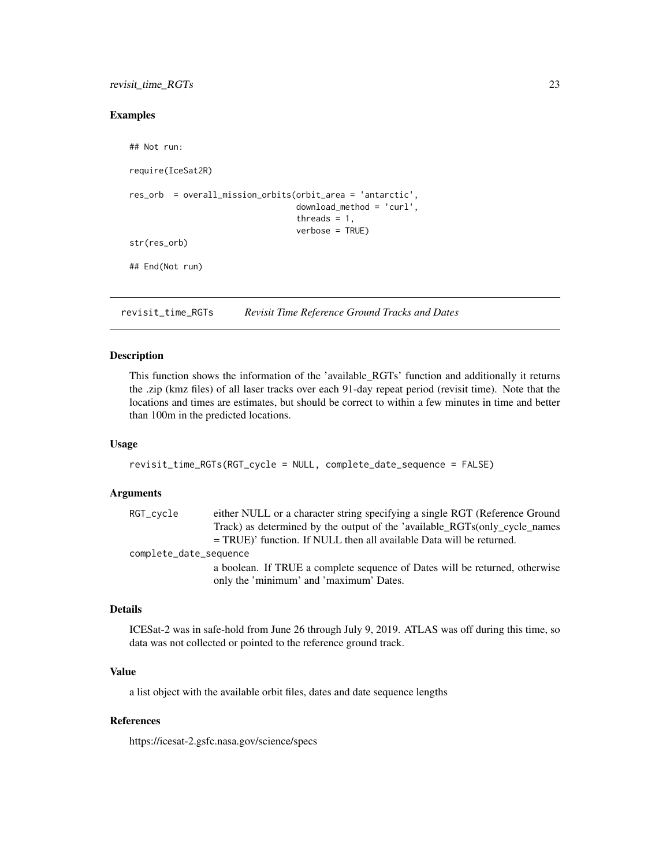#### <span id="page-22-0"></span>revisit\_time\_RGTs 23

#### Examples

```
## Not run:
require(IceSat2R)
res_orb = overall_mission_orbits(orbit_area = 'antarctic',
                                  download_method = 'curl',
                                  threads = 1,
                                  verbose = TRUE)
str(res_orb)
## End(Not run)
```
revisit\_time\_RGTs *Revisit Time Reference Ground Tracks and Dates*

#### Description

This function shows the information of the 'available\_RGTs' function and additionally it returns the .zip (kmz files) of all laser tracks over each 91-day repeat period (revisit time). Note that the locations and times are estimates, but should be correct to within a few minutes in time and better than 100m in the predicted locations.

#### Usage

```
revisit_time_RGTs(RGT_cycle = NULL, complete_date_sequence = FALSE)
```
#### Arguments

| either NULL or a character string specifying a single RGT (Reference Ground |
|-----------------------------------------------------------------------------|
| Track) as determined by the output of the 'available_RGTs(only_cycle_names  |
| $=$ TRUE)' function. If NULL then all available Data will be returned.      |
| complete_date_sequence                                                      |
| a boolean. If TRUE a complete sequence of Dates will be returned, otherwise |
| only the 'minimum' and 'maximum' Dates.                                     |
|                                                                             |

#### Details

ICESat-2 was in safe-hold from June 26 through July 9, 2019. ATLAS was off during this time, so data was not collected or pointed to the reference ground track.

#### Value

a list object with the available orbit files, dates and date sequence lengths

#### References

https://icesat-2.gsfc.nasa.gov/science/specs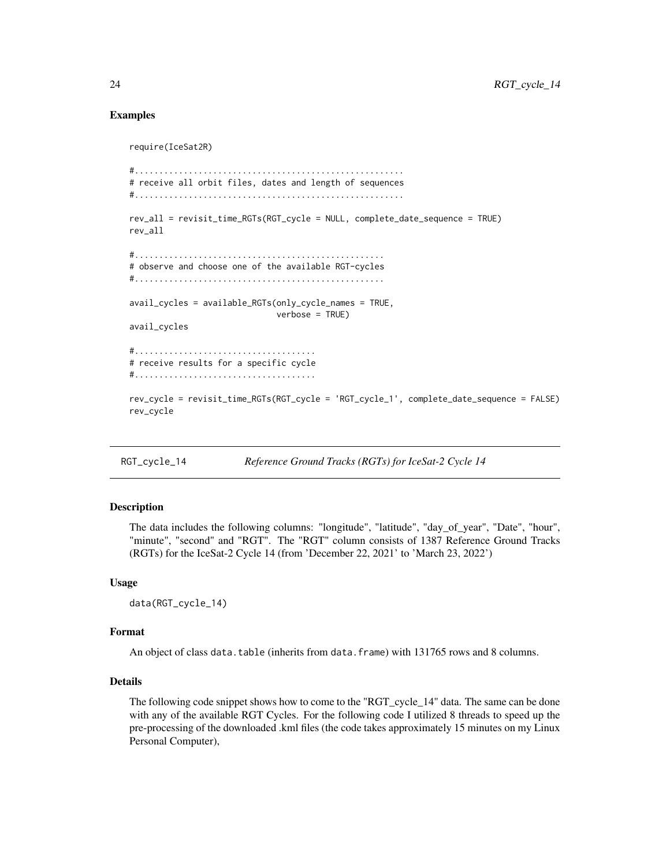#### Examples

```
require(IceSat2R)
#.......................................................
# receive all orbit files, dates and length of sequences
#.......................................................
rev_all = revisit_time_RGTs(RGT_cycle = NULL, complete_date_sequence = TRUE)
rev_all
#...................................................
# observe and choose one of the available RGT-cycles
#...................................................
avail_cycles = available_RGTs(only_cycle_names = TRUE,
                              verbose = TRUE)
avail_cycles
#.....................................
# receive results for a specific cycle
#.....................................
rev_cycle = revisit_time_RGTs(RGT_cycle = 'RGT_cycle_1', complete_date_sequence = FALSE)
rev_cycle
```
RGT\_cycle\_14 *Reference Ground Tracks (RGTs) for IceSat-2 Cycle 14*

#### **Description**

The data includes the following columns: "longitude", "latitude", "day\_of\_year", "Date", "hour", "minute", "second" and "RGT". The "RGT" column consists of 1387 Reference Ground Tracks (RGTs) for the IceSat-2 Cycle 14 (from 'December 22, 2021' to 'March 23, 2022')

#### Usage

data(RGT\_cycle\_14)

#### Format

An object of class data.table (inherits from data.frame) with 131765 rows and 8 columns.

#### Details

The following code snippet shows how to come to the "RGT\_cycle\_14" data. The same can be done with any of the available RGT Cycles. For the following code I utilized 8 threads to speed up the pre-processing of the downloaded .kml files (the code takes approximately 15 minutes on my Linux Personal Computer),

<span id="page-23-0"></span>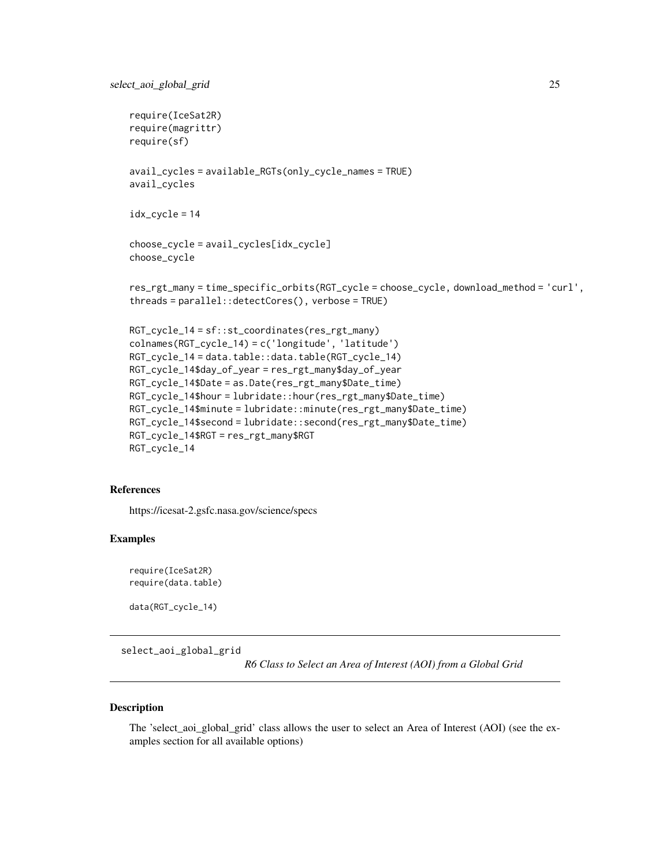```
require(IceSat2R)
require(magrittr)
require(sf)
avail_cycles = available_RGTs(only_cycle_names = TRUE)
avail_cycles
idx_cycle = 14
choose_cycle = avail_cycles[idx_cycle]
choose_cycle
res_rgt_many = time_specific_orbits(RGT_cycle = choose_cycle, download_method = 'curl',
threads = parallel::detectCores(), verbose = TRUE)
RGT_cycle_14 = sf::st_coordinates(res_rgt_many)
colnames(RGT_cycle_14) = c('longitude', 'latitude')
RGT_cycle_14 = data.table::data.table(RGT_cycle_14)
RGT_cycle_14$day_of_year = res_rgt_many$day_of_year
RGT_cycle_14$Date = as.Date(res_rgt_many$Date_time)
RGT_cycle_14$hour = lubridate::hour(res_rgt_many$Date_time)
RGT_cycle_14$minute = lubridate::minute(res_rgt_many$Date_time)
RGT_cycle_14$second = lubridate::second(res_rgt_many$Date_time)
```

```
RGT_cycle_14$RGT = res_rgt_many$RGT
RGT_cycle_14
```
#### References

https://icesat-2.gsfc.nasa.gov/science/specs

#### Examples

```
require(IceSat2R)
require(data.table)
```
data(RGT\_cycle\_14)

select\_aoi\_global\_grid

*R6 Class to Select an Area of Interest (AOI) from a Global Grid*

#### Description

The 'select\_aoi\_global\_grid' class allows the user to select an Area of Interest (AOI) (see the examples section for all available options)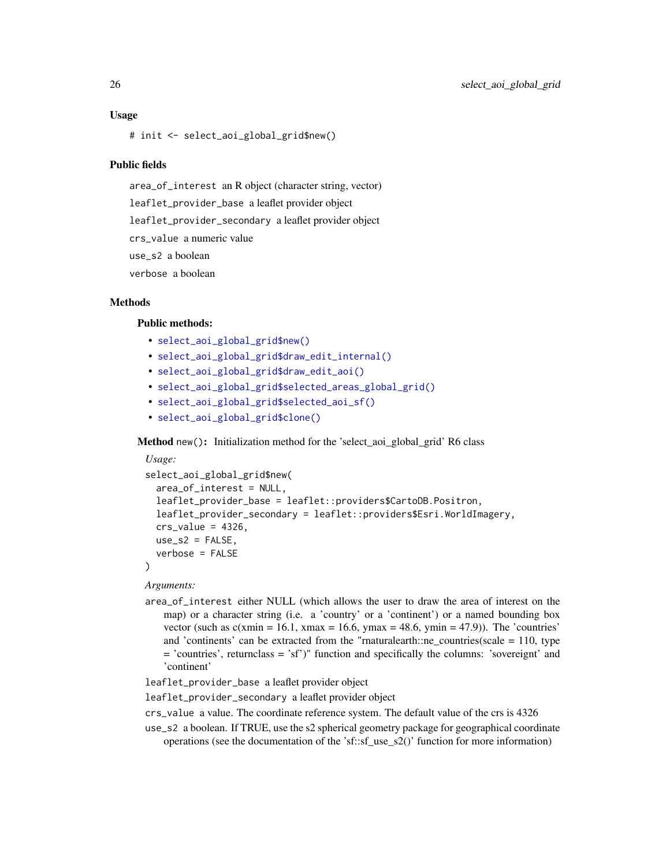#### Usage

# init <- select\_aoi\_global\_grid\$new()

#### Public fields

area\_of\_interest an R object (character string, vector) leaflet\_provider\_base a leaflet provider object leaflet\_provider\_secondary a leaflet provider object crs\_value a numeric value use\_s2 a boolean verbose a boolean

#### Methods

#### Public methods:

- [select\\_aoi\\_global\\_grid\\$new\(\)](#page-25-0)
- [select\\_aoi\\_global\\_grid\\$draw\\_edit\\_internal\(\)](#page-26-0)
- [select\\_aoi\\_global\\_grid\\$draw\\_edit\\_aoi\(\)](#page-26-1)
- [select\\_aoi\\_global\\_grid\\$selected\\_areas\\_global\\_grid\(\)](#page-26-2)
- [select\\_aoi\\_global\\_grid\\$selected\\_aoi\\_sf\(\)](#page-26-3)
- [select\\_aoi\\_global\\_grid\\$clone\(\)](#page-26-4)

<span id="page-25-0"></span>Method new(): Initialization method for the 'select aoi global grid' R6 class

```
Usage:
select_aoi_global_grid$new(
 area_of_interest = NULL,
 leaflet_provider_base = leaflet::providers$CartoDB.Positron,
  leaflet_provider_secondary = leaflet::providers$Esri.WorldImagery,
 crs_value = 4326,use_s2 = FALSE,verbose = FALSE
)
```
*Arguments:*

area\_of\_interest either NULL (which allows the user to draw the area of interest on the map) or a character string (i.e. a 'country' or a 'continent') or a named bounding box vector (such as  $c(xmin = 16.1, xmax = 16.6, ymax = 48.6, ymin = 47.9)$ ). The 'countries' and 'continents' can be extracted from the "rnaturalearth::ne\_countries(scale = 110, type  $=$  'countries', returnclass  $=$  'sf')" function and specifically the columns: 'sovereignt' and 'continent'

leaflet\_provider\_base a leaflet provider object

leaflet\_provider\_secondary a leaflet provider object

- crs\_value a value. The coordinate reference system. The default value of the crs is 4326
- use\_s2 a boolean. If TRUE, use the s2 spherical geometry package for geographical coordinate operations (see the documentation of the 'sf::sf\_use\_s2()' function for more information)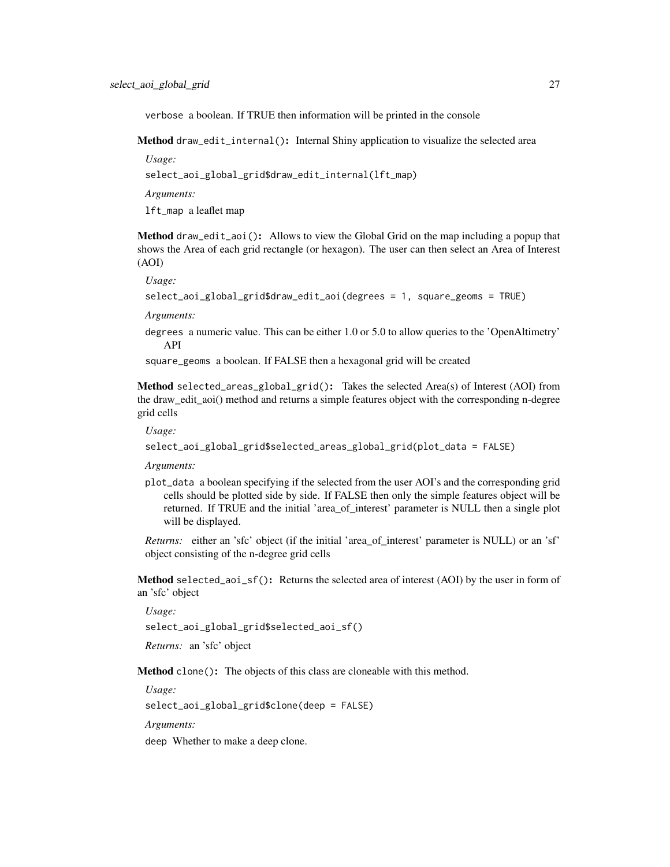verbose a boolean. If TRUE then information will be printed in the console

<span id="page-26-0"></span>Method draw\_edit\_internal(): Internal Shiny application to visualize the selected area

*Usage:*

select\_aoi\_global\_grid\$draw\_edit\_internal(lft\_map)

*Arguments:*

lft\_map a leaflet map

<span id="page-26-1"></span>Method draw\_edit\_aoi(): Allows to view the Global Grid on the map including a popup that shows the Area of each grid rectangle (or hexagon). The user can then select an Area of Interest (AOI)

*Usage:*

```
select_aoi_global_grid$draw_edit_aoi(degrees = 1, square_geoms = TRUE)
```
*Arguments:*

degrees a numeric value. This can be either 1.0 or 5.0 to allow queries to the 'OpenAltimetry' API

square\_geoms a boolean. If FALSE then a hexagonal grid will be created

<span id="page-26-2"></span>Method selected\_areas\_global\_grid(): Takes the selected Area(s) of Interest (AOI) from the draw\_edit\_aoi() method and returns a simple features object with the corresponding n-degree grid cells

*Usage:*

```
select_aoi_global_grid$selected_areas_global_grid(plot_data = FALSE)
```
*Arguments:*

plot\_data a boolean specifying if the selected from the user AOI's and the corresponding grid cells should be plotted side by side. If FALSE then only the simple features object will be returned. If TRUE and the initial 'area\_of\_interest' parameter is NULL then a single plot will be displayed.

*Returns:* either an 'sfc' object (if the initial 'area\_of\_interest' parameter is NULL) or an 'sf' object consisting of the n-degree grid cells

<span id="page-26-3"></span>**Method** selected\_aoi\_sf(): Returns the selected area of interest  $(AOI)$  by the user in form of an 'sfc' object

*Usage:*

select\_aoi\_global\_grid\$selected\_aoi\_sf()

*Returns:* an 'sfc' object

<span id="page-26-4"></span>Method clone(): The objects of this class are cloneable with this method.

*Usage:*

select\_aoi\_global\_grid\$clone(deep = FALSE)

*Arguments:*

deep Whether to make a deep clone.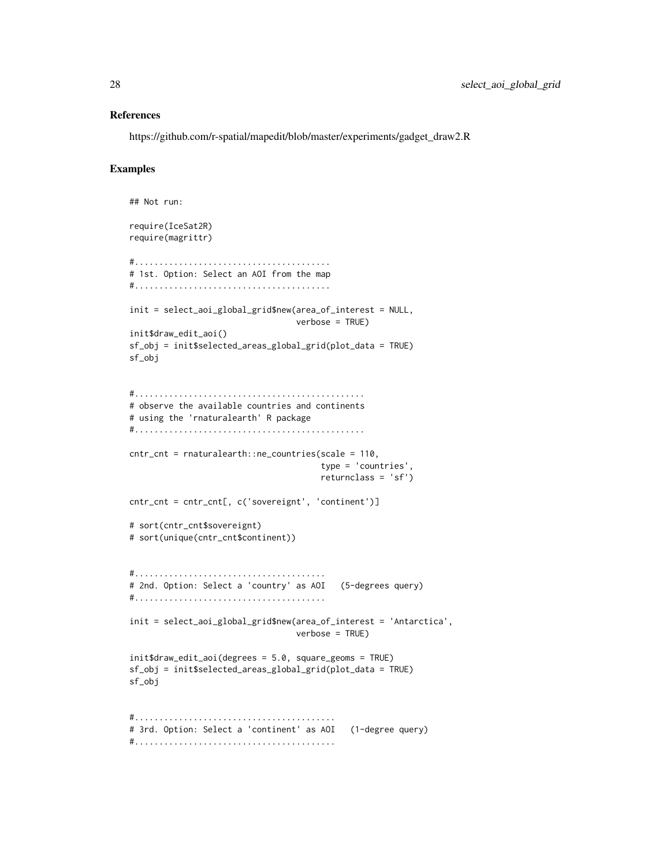#### References

https://github.com/r-spatial/mapedit/blob/master/experiments/gadget\_draw2.R

#### Examples

```
## Not run:
require(IceSat2R)
require(magrittr)
#........................................
# 1st. Option: Select an AOI from the map
#........................................
init = select_aoi_global_grid$new(area_of_interest = NULL,
                                  verbose = TRUE)
init$draw_edit_aoi()
sf_obj = init$selected_areas_global_grid(plot_data = TRUE)
sf_obj
#...............................................
# observe the available countries and continents
# using the 'rnaturalearth' R package
#...............................................
cntr_cnt = rnaturalearth::ne_countries(scale = 110,
                                       type = 'countries',
                                       returnclass = 'sf')
cntr_cnt = cntr_cnt[, c('sovereignt', 'continent')]
# sort(cntr_cnt$sovereignt)
# sort(unique(cntr_cnt$continent))
#.......................................
# 2nd. Option: Select a 'country' as AOI (5-degrees query)
#.......................................
init = select_aoi_global_grid$new(area_of_interest = 'Antarctica',
                                  verbose = TRUE)
init$draw_edit_aoi(degrees = 5.0, square_geoms = TRUE)
sf_obj = init$selected_areas_global_grid(plot_data = TRUE)
sf_obj
#.........................................
# 3rd. Option: Select a 'continent' as AOI (1-degree query)
#.........................................
```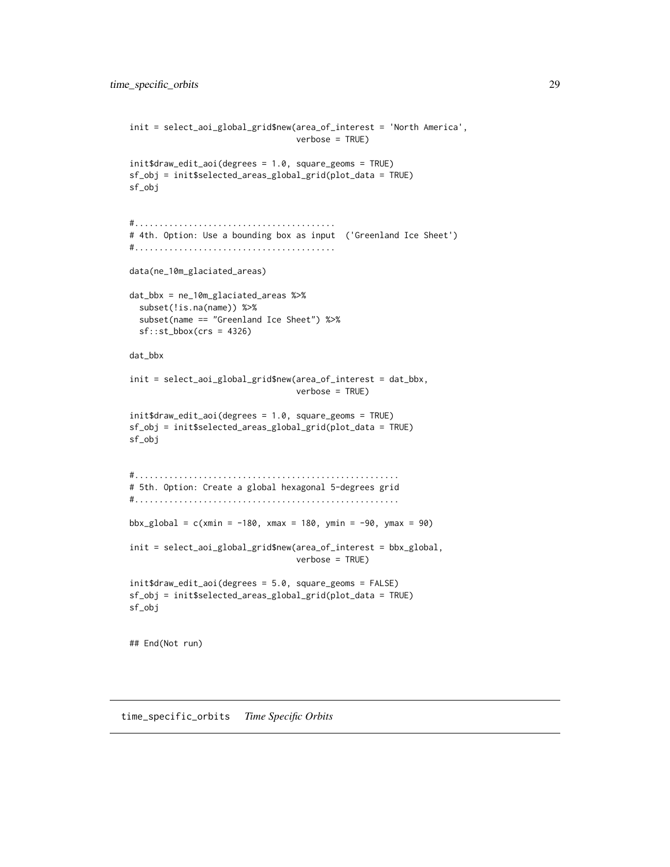```
init = select_aoi_global_grid$new(area_of_interest = 'North America',
                                  verbose = TRUE)
init$draw_edit_aoi(degrees = 1.0, square_geoms = TRUE)
sf_obj = init$selected_areas_global_grid(plot_data = TRUE)
sf_obj
#.........................................
# 4th. Option: Use a bounding box as input ('Greenland Ice Sheet')
#.........................................
data(ne_10m_glaciated_areas)
dat_bbx = ne_10m_glaciated_areas %>%
  subset(!is.na(name)) %>%
  subset(name == "Greenland Ice Sheet") %>%
  sf::st_bbox(crs = 4326)
dat_bbx
init = select_aoi_global_grid$new(area_of_interest = dat_bbx,
                                  verbose = TRUE)
init$draw_edit_aoi(degrees = 1.0, square_geoms = TRUE)
sf_obj = init$selected_areas_global_grid(plot_data = TRUE)
sf_obj
#......................................................
# 5th. Option: Create a global hexagonal 5-degrees grid
#......................................................
bbx_global = c(xmin = -180, xmax = 180, ymin = -90, ymax = 90)
init = select_aoi_global_grid$new(area_of_interest = bbx_global,
                                  verbose = TRUE)
init$draw_edit_aoi(degrees = 5.0, square_geoms = FALSE)
sf_obj = init$selected_areas_global_grid(plot_data = TRUE)
sf_obj
## End(Not run)
```
time\_specific\_orbits *Time Specific Orbits*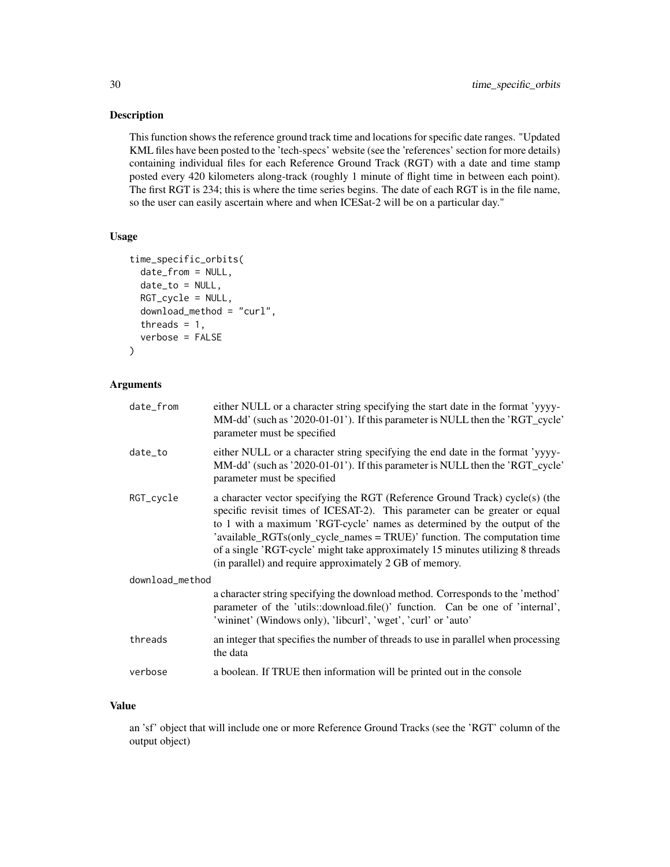#### Description

This function shows the reference ground track time and locations for specific date ranges. "Updated KML files have been posted to the 'tech-specs' website (see the 'references' section for more details) containing individual files for each Reference Ground Track (RGT) with a date and time stamp posted every 420 kilometers along-track (roughly 1 minute of flight time in between each point). The first RGT is 234; this is where the time series begins. The date of each RGT is in the file name, so the user can easily ascertain where and when ICESat-2 will be on a particular day."

#### Usage

```
time_specific_orbits(
  date_from = NULL,
  date_to = NULL,RGT_cycle = NULL,
  download_method = "curl",
  threads = 1,
  verbose = FALSE
)
```
#### Arguments

| date_from       | either NULL or a character string specifying the start date in the format 'yyyy-<br>MM-dd' (such as '2020-01-01'). If this parameter is NULL then the 'RGT_cycle'<br>parameter must be specified                                                                                                                                                                                                                                                                  |  |
|-----------------|-------------------------------------------------------------------------------------------------------------------------------------------------------------------------------------------------------------------------------------------------------------------------------------------------------------------------------------------------------------------------------------------------------------------------------------------------------------------|--|
| date_to         | either NULL or a character string specifying the end date in the format 'yyyy-<br>MM-dd' (such as '2020-01-01'). If this parameter is NULL then the 'RGT_cycle'<br>parameter must be specified                                                                                                                                                                                                                                                                    |  |
| RGT_cycle       | a character vector specifying the RGT (Reference Ground Track) cycle(s) (the<br>specific revisit times of ICESAT-2). This parameter can be greater or equal<br>to 1 with a maximum 'RGT-cycle' names as determined by the output of the<br>'available_RGTs(only_cycle_names = TRUE)' function. The computation time<br>of a single 'RGT-cycle' might take approximately 15 minutes utilizing 8 threads<br>(in parallel) and require approximately 2 GB of memory. |  |
| download_method |                                                                                                                                                                                                                                                                                                                                                                                                                                                                   |  |
|                 | a character string specifying the download method. Corresponds to the 'method'<br>parameter of the 'utils::download.file()' function. Can be one of 'internal',<br>'wininet' (Windows only), 'libcurl', 'wget', 'curl' or 'auto'                                                                                                                                                                                                                                  |  |
| threads         | an integer that specifies the number of threads to use in parallel when processing<br>the data                                                                                                                                                                                                                                                                                                                                                                    |  |
| verbose         | a boolean. If TRUE then information will be printed out in the console                                                                                                                                                                                                                                                                                                                                                                                            |  |
|                 |                                                                                                                                                                                                                                                                                                                                                                                                                                                                   |  |

#### Value

an 'sf' object that will include one or more Reference Ground Tracks (see the 'RGT' column of the output object)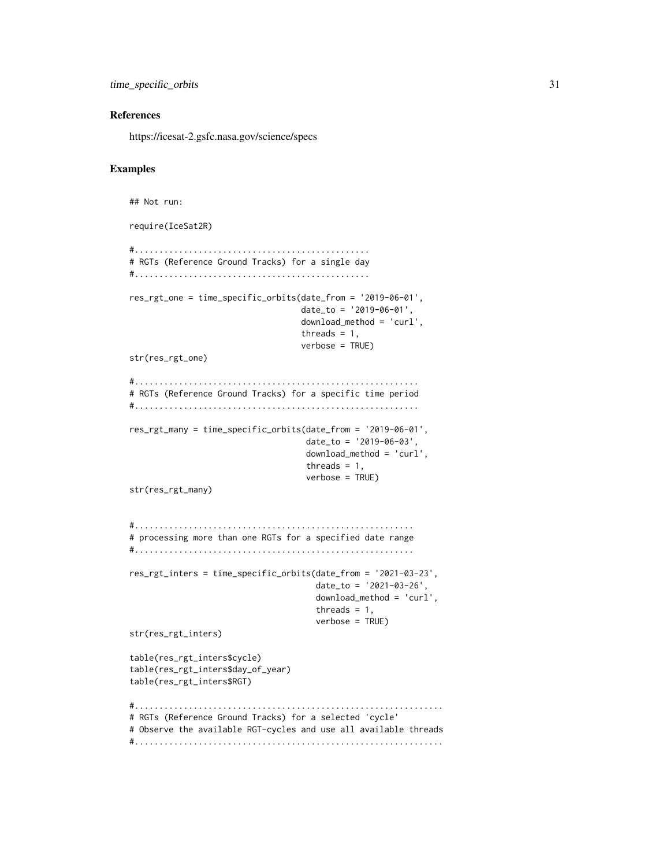```
time_specific_orbits 31
```
#### References

https://icesat-2.gsfc.nasa.gov/science/specs

#### Examples

```
## Not run:
require(IceSat2R)
#................................................
# RGTs (Reference Ground Tracks) for a single day
#................................................
res_rgt_one = time_specific_orbits(date_from = '2019-06-01',
                                   date_to = '2019-06-01',
                                   download_method = 'curl',
                                   threads = 1,
                                   verbose = TRUE)
str(res_rgt_one)
#..........................................................
# RGTs (Reference Ground Tracks) for a specific time period
#..........................................................
res_rgt_many = time_specific_orbits(date_from = '2019-06-01',
                                    date_to = '2019-06-03',
                                    download_method = 'curl',
                                    threads = 1,
                                    verbose = TRUE)
str(res_rgt_many)
#.........................................................
# processing more than one RGTs for a specified date range
#.........................................................
res_rgt_inters = time_specific_orbits(date_from = '2021-03-23',
                                      date_to = '2021-03-26',
                                      download_method = 'curl',
                                      threads = 1,
                                      verbose = TRUE)
str(res_rgt_inters)
table(res_rgt_inters$cycle)
table(res_rgt_inters$day_of_year)
table(res_rgt_inters$RGT)
#...............................................................
# RGTs (Reference Ground Tracks) for a selected 'cycle'
# Observe the available RGT-cycles and use all available threads
#...............................................................
```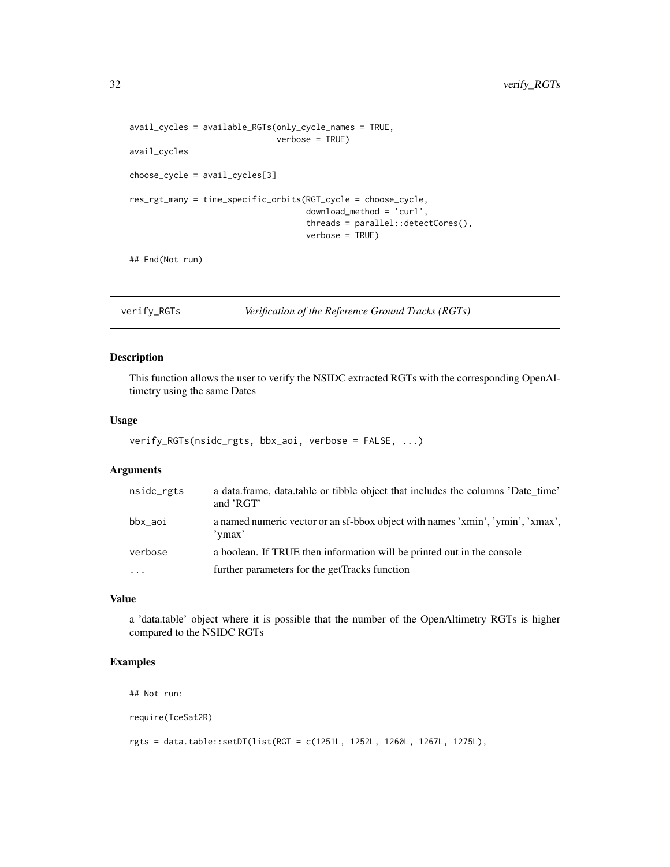```
avail_cycles = available_RGTs(only_cycle_names = TRUE,
                              verbose = TRUE)
avail_cycles
choose_cycle = avail_cycles[3]
res_rgt_many = time_specific_orbits(RGT_cycle = choose_cycle,
                                    download_method = 'curl',
                                    threads = parallel::detectCores(),
                                    verbose = TRUE)
```
## End(Not run)

verify\_RGTs *Verification of the Reference Ground Tracks (RGTs)*

#### Description

This function allows the user to verify the NSIDC extracted RGTs with the corresponding OpenAltimetry using the same Dates

#### Usage

```
verify_RGTs(nsidc_rgts, bbx_aoi, verbose = FALSE, ...)
```
#### Arguments

| nsidc_rgts | a data.frame, data.table or tibble object that includes the columns 'Date time'<br>and 'RGT' |
|------------|----------------------------------------------------------------------------------------------|
| bbx_aoi    | a named numeric vector or an sf-bbox object with names 'xmin', 'ymin', 'xmax',<br>'ymax'     |
| verbose    | a boolean. If TRUE then information will be printed out in the console                       |
| $\cdots$   | further parameters for the getTracks function                                                |

#### Value

a 'data.table' object where it is possible that the number of the OpenAltimetry RGTs is higher compared to the NSIDC RGTs

#### Examples

```
## Not run:
```
require(IceSat2R)

rgts = data.table::setDT(list(RGT = c(1251L, 1252L, 1260L, 1267L, 1275L),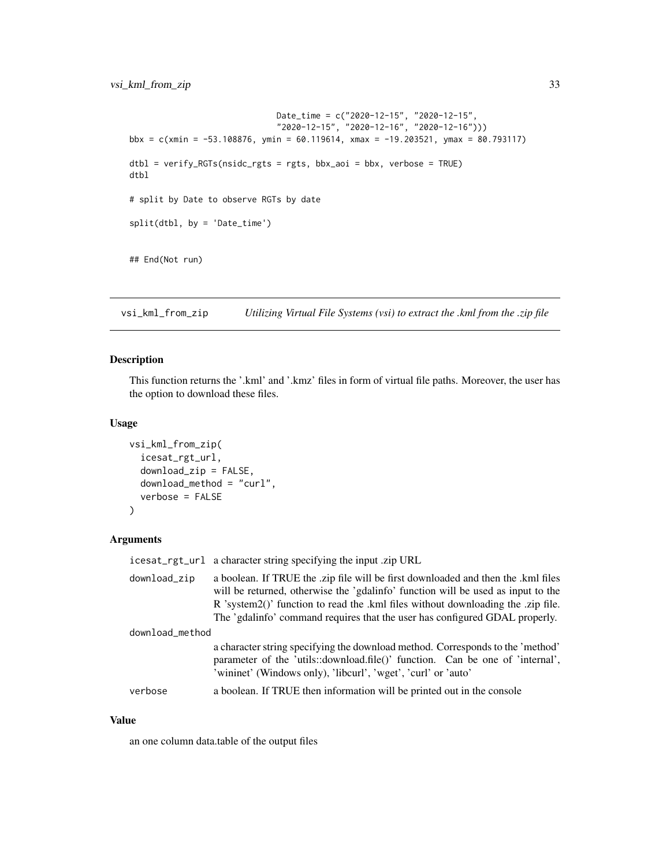```
Date_time = c("2020-12-15", "2020-12-15",
                              "2020-12-15", "2020-12-16", "2020-12-16")))
bbx = c(xmin = -53.108876, ymin = 60.119614, xmax = -19.203521, ymax = 80.793117)
dtbl = verify_RGTs(nsidc_rgts = rgts, bbx_aoi = bbx, verbose = TRUE)
dtbl
# split by Date to observe RGTs by date
split(dtbl, by = 'Date_time')
## End(Not run)
```
vsi\_kml\_from\_zip *Utilizing Virtual File Systems (vsi) to extract the .kml from the .zip file*

#### Description

This function returns the '.kml' and '.kmz' files in form of virtual file paths. Moreover, the user has the option to download these files.

#### Usage

```
vsi_kml_from_zip(
  icesat_rgt_url,
  download_zip = FALSE,
  download_method = "curl",
  verbose = FALSE
)
```
#### Arguments

|                 | icesat_rgt_url a character string specifying the input .zip URL                                                                                                                                                                                                                                                                          |
|-----------------|------------------------------------------------------------------------------------------------------------------------------------------------------------------------------------------------------------------------------------------------------------------------------------------------------------------------------------------|
| download_zip    | a boolean. If TRUE the .zip file will be first downloaded and then the .kml files<br>will be returned, otherwise the 'gdalinfo' function will be used as input to the<br>R 'system2()' function to read the .kml files without downloading the .zip file.<br>The 'gdalinfo' command requires that the user has configured GDAL properly. |
| download_method |                                                                                                                                                                                                                                                                                                                                          |
|                 | a character string specifying the download method. Corresponds to the 'method'<br>parameter of the 'utils::download.file()' function. Can be one of 'internal',<br>'wininet' (Windows only), 'libcurl', 'wget', 'curl' or 'auto'                                                                                                         |
| verbose         | a boolean. If TRUE then information will be printed out in the console                                                                                                                                                                                                                                                                   |

#### Value

an one column data.table of the output files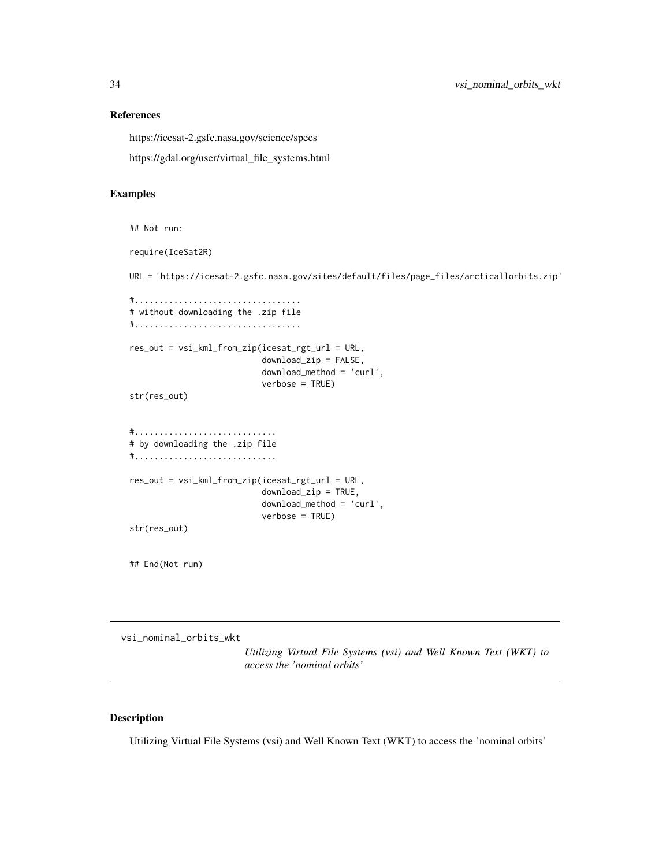#### References

https://icesat-2.gsfc.nasa.gov/science/specs

https://gdal.org/user/virtual\_file\_systems.html

#### Examples

```
## Not run:
require(IceSat2R)
URL = 'https://icesat-2.gsfc.nasa.gov/sites/default/files/page_files/arcticallorbits.zip'
#..................................
# without downloading the .zip file
#..................................
res_out = vsi_kml_from_zip(icesat_rgt_url = URL,
                           download_zip = FALSE,
                           download_method = 'curl',
                           verbose = TRUE)
str(res_out)
#.............................
# by downloading the .zip file
#.............................
res_out = vsi_kml_from_zip(icesat_rgt_url = URL,
                           download_zip = TRUE,
                           download_method = 'curl',
                           verbose = TRUE)
str(res_out)
## End(Not run)
```
vsi\_nominal\_orbits\_wkt

*Utilizing Virtual File Systems (vsi) and Well Known Text (WKT) to access the 'nominal orbits'*

#### Description

Utilizing Virtual File Systems (vsi) and Well Known Text (WKT) to access the 'nominal orbits'

<span id="page-33-0"></span>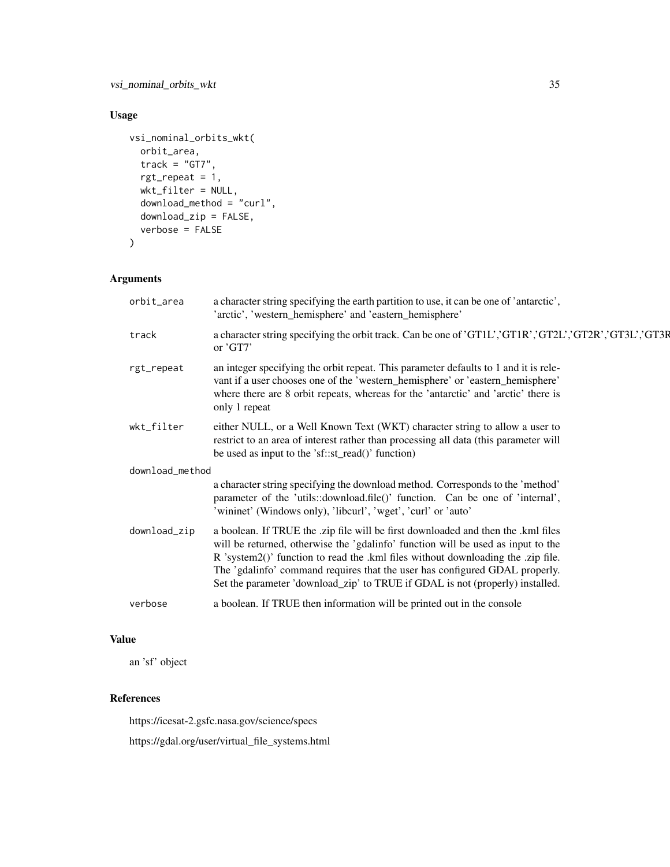### Usage

```
vsi_nominal_orbits_wkt(
 orbit_area,
 track = "GT7",rgt_repeat = 1,
 wkt_filter = NULL,
 download_method = "curl",
 download_zip = FALSE,
  verbose = FALSE
)
```
### Arguments

| orbit_area      | a character string specifying the earth partition to use, it can be one of 'antarctic',<br>'arctic', 'western_hemisphere' and 'eastern_hemisphere'                                                                                                                                                                                                                                                                        |  |
|-----------------|---------------------------------------------------------------------------------------------------------------------------------------------------------------------------------------------------------------------------------------------------------------------------------------------------------------------------------------------------------------------------------------------------------------------------|--|
| track           | a character string specifying the orbit track. Can be one of 'GT1L', 'GT1R', 'GT2L', 'GT2R', 'GT3L', 'GT3R<br>or $'GT7'$                                                                                                                                                                                                                                                                                                  |  |
| rgt_repeat      | an integer specifying the orbit repeat. This parameter defaults to 1 and it is rele-<br>vant if a user chooses one of the 'western_hemisphere' or 'eastern_hemisphere'<br>where there are 8 orbit repeats, whereas for the 'antarctic' and 'arctic' there is<br>only 1 repeat                                                                                                                                             |  |
| wkt_filter      | either NULL, or a Well Known Text (WKT) character string to allow a user to<br>restrict to an area of interest rather than processing all data (this parameter will<br>be used as input to the 'sf::st_read()' function)                                                                                                                                                                                                  |  |
| download_method |                                                                                                                                                                                                                                                                                                                                                                                                                           |  |
|                 | a character string specifying the download method. Corresponds to the 'method'<br>parameter of the 'utils::download.file()' function. Can be one of 'internal',<br>'wininet' (Windows only), 'libcurl', 'wget', 'curl' or 'auto'                                                                                                                                                                                          |  |
| download_zip    | a boolean. If TRUE the .zip file will be first downloaded and then the .kml files<br>will be returned, otherwise the 'gdalinfo' function will be used as input to the<br>R 'system2()' function to read the .kml files without downloading the .zip file.<br>The 'gdalinfo' command requires that the user has configured GDAL properly.<br>Set the parameter 'download_zip' to TRUE if GDAL is not (properly) installed. |  |
| verbose         | a boolean. If TRUE then information will be printed out in the console                                                                                                                                                                                                                                                                                                                                                    |  |

### Value

an 'sf' object

#### References

https://icesat-2.gsfc.nasa.gov/science/specs https://gdal.org/user/virtual\_file\_systems.html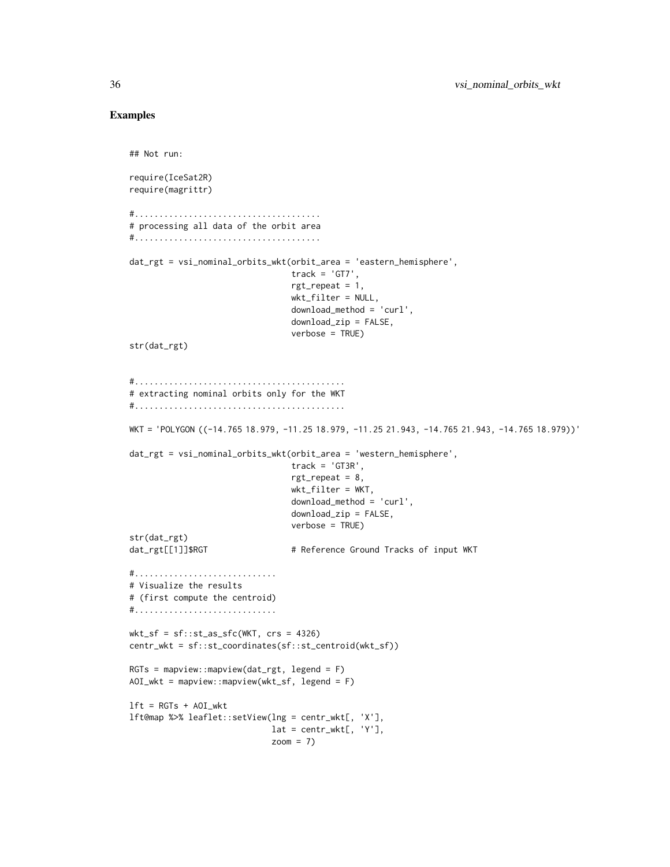#### Examples

```
## Not run:
require(IceSat2R)
require(magrittr)
#......................................
# processing all data of the orbit area
#......................................
dat_rgt = vsi_nominal_orbits_wkt(orbit_area = 'eastern_hemisphere',
                                 track = 'GT7',rgt_repeat = 1,
                                 wkt_filter = NULL,
                                 download_method = 'curl',
                                 download_zip = FALSE,
                                 verbose = TRUE)
str(dat_rgt)
#...........................................
# extracting nominal orbits only for the WKT
#...........................................
WKT = 'POLYGON ((-14.765 18.979, -11.25 18.979, -11.25 21.943, -14.765 21.943, -14.765 18.979))'
dat_rgt = vsi_nominal_orbits_wkt(orbit_area = 'western_hemisphere',
                                 track = 'GT3R',rgt_repeat = 8,
                                 wkt_filter = WKT,
                                 download_method = 'curl',
                                 download_zip = FALSE,
                                 verbose = TRUE)
str(dat_rgt)
dat_rgt[[1]]$RGT # Reference Ground Tracks of input WKT
#.............................
# Visualize the results
# (first compute the centroid)
#.............................
wkt_s f = sf::st_as_sfc(WKT, crs = 4326)centr_wkt = sf::st_coordinates(sf::st_centroid(wkt_sf))
RGTs = mapview::mapview(data_rgt, legend = F)AOI_wkt = mapview::mapview(wkt_sf, legend = F)
lft = RGTs + AOI_wktlft@map %>% leaflet::setView(lng = centr_wkt[, 'X'],
                            lat = centr_wkt[, 'Y'],
                            zoom = 7)
```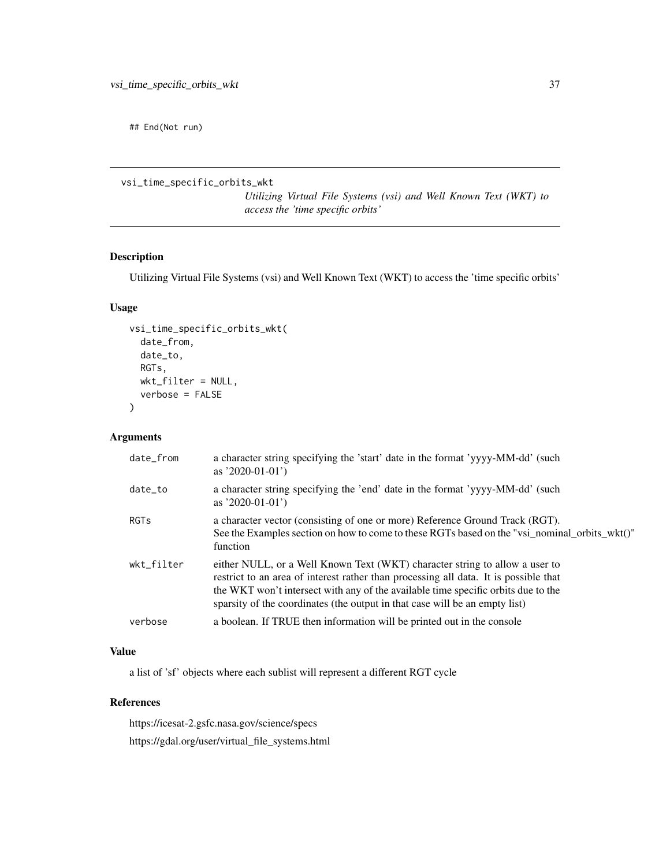<span id="page-36-0"></span>## End(Not run)

vsi\_time\_specific\_orbits\_wkt

*Utilizing Virtual File Systems (vsi) and Well Known Text (WKT) to access the 'time specific orbits'*

#### Description

Utilizing Virtual File Systems (vsi) and Well Known Text (WKT) to access the 'time specific orbits'

#### Usage

```
vsi_time_specific_orbits_wkt(
  date_from,
  date_to,
 RGTs,
 wkt_filter = NULL,
  verbose = FALSE
)
```
#### Arguments

| date_from   | a character string specifying the 'start' date in the format 'yyyy-MM-dd' (such<br>as $'2020-01-01'$ )                                                                                                                                                                                                                                  |
|-------------|-----------------------------------------------------------------------------------------------------------------------------------------------------------------------------------------------------------------------------------------------------------------------------------------------------------------------------------------|
| date_to     | a character string specifying the 'end' date in the format 'yyyy-MM-dd' (such<br>as $2020-01-01$                                                                                                                                                                                                                                        |
| <b>RGTs</b> | a character vector (consisting of one or more) Reference Ground Track (RGT).<br>See the Examples section on how to come to these RGTs based on the "vsi_nominal_orbits_wkt()"<br>function                                                                                                                                               |
| wkt_filter  | either NULL, or a Well Known Text (WKT) character string to allow a user to<br>restrict to an area of interest rather than processing all data. It is possible that<br>the WKT won't intersect with any of the available time specific orbits due to the<br>sparsity of the coordinates (the output in that case will be an empty list) |
| verbose     | a boolean. If TRUE then information will be printed out in the console                                                                                                                                                                                                                                                                  |

### Value

a list of 'sf' objects where each sublist will represent a different RGT cycle

#### References

https://icesat-2.gsfc.nasa.gov/science/specs https://gdal.org/user/virtual\_file\_systems.html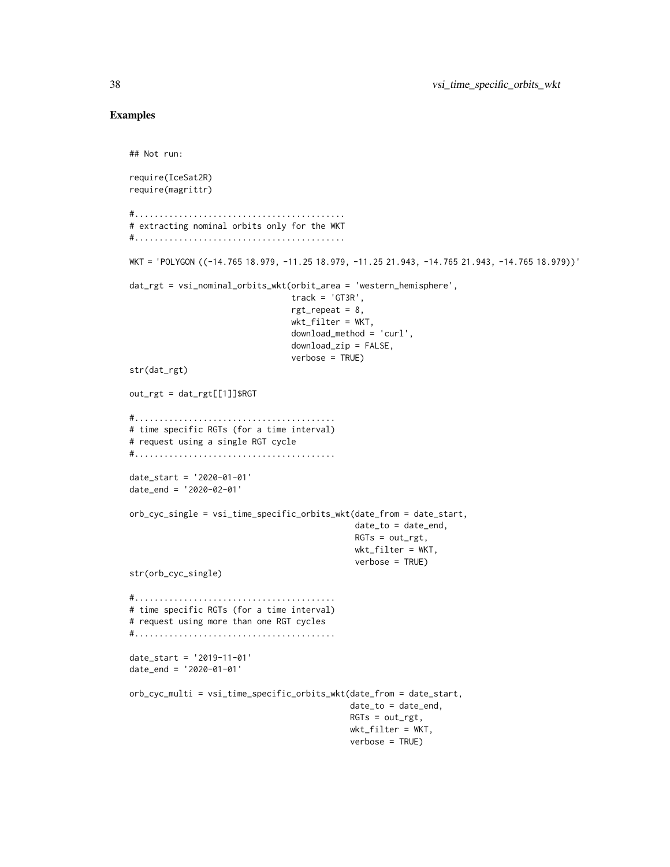#### Examples

```
## Not run:
require(IceSat2R)
require(magrittr)
#...........................................
# extracting nominal orbits only for the WKT
#...........................................
WKT = 'POLYGON ((-14.765 18.979, -11.25 18.979, -11.25 21.943, -14.765 21.943, -14.765 18.979))'
dat_rgt = vsi_nominal_orbits_wkt(orbit_area = 'western_hemisphere',
                                 track = 'GTSR'.rgt_repeat = 8,
                                 wkt_filter = WKT,
                                 download_method = 'curl',
                                 download_zip = FALSE,
                                 verbose = TRUE)
str(dat_rgt)
out\_rgt = dat\_rgt[[1]]$RGT
#.........................................
# time specific RGTs (for a time interval)
# request using a single RGT cycle
#.........................................
date_start = '2020-01-01'
date_end = '2020-02-01'
orb_cyc_single = vsi_time_specific_orbits_wkt(date_from = date_start,
                                               date_to = date_end,
                                               RGTs = out_rgt,
                                              wkt_filter = WKT,
                                              verbose = TRUE)
str(orb_cyc_single)
#.........................................
# time specific RGTs (for a time interval)
# request using more than one RGT cycles
#.........................................
date_start = '2019-11-01'
date_end = '2020-01-01'
orb_cyc_multi = vsi_time_specific_orbits_wkt(date_from = date_start,
                                             date_to = date_end,
                                             RGTs = out_rgt,
                                             wkt_filter = WKT,
                                             verbose = TRUE)
```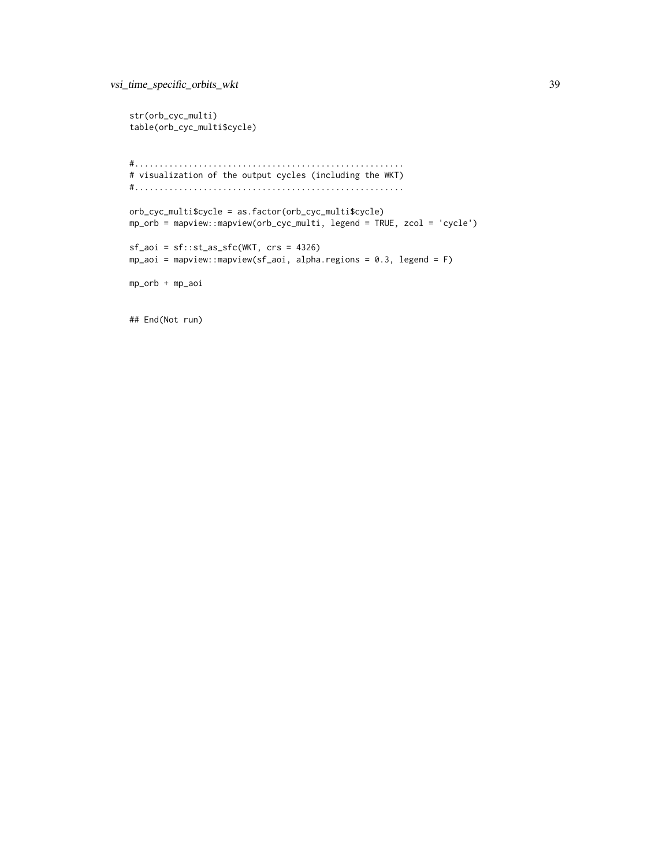```
str(orb_cyc_multi)
table(orb_cyc_multi$cycle)
#.......................................................
# visualization of the output cycles (including the WKT)
#.......................................................
orb_cyc_multi$cycle = as.factor(orb_cyc_multi$cycle)
mp_orb = mapview::mapview(orb_cyc_multi, legend = TRUE, zcol = 'cycle')
sf_aoi = sf::st_as_sfc(WKT, crs = 4326)mp_aoi = mapview::mapview(sf_aoi, alpha-regions = 0.3, legend = F)mp_orb + mp_aoi
```
## End(Not run)